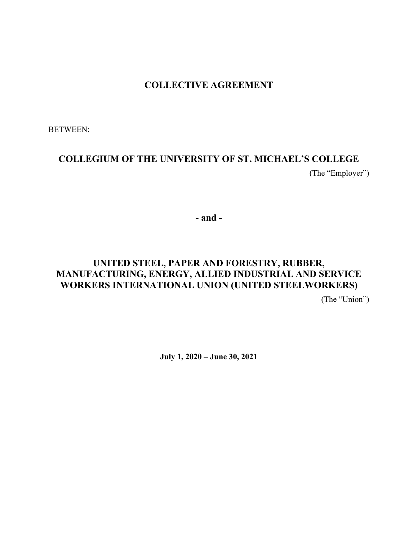## **COLLECTIVE AGREEMENT**

BETWEEN:

# **COLLEGIUM OF THE UNIVERSITY OF ST. MICHAEL'S COLLEGE** (The "Employer")

**- and -**

# **UNITED STEEL, PAPER AND FORESTRY, RUBBER, MANUFACTURING, ENERGY, ALLIED INDUSTRIAL AND SERVICE WORKERS INTERNATIONAL UNION (UNITED STEELWORKERS)**

(The "Union")

**July 1, 2020 – June 30, 2021**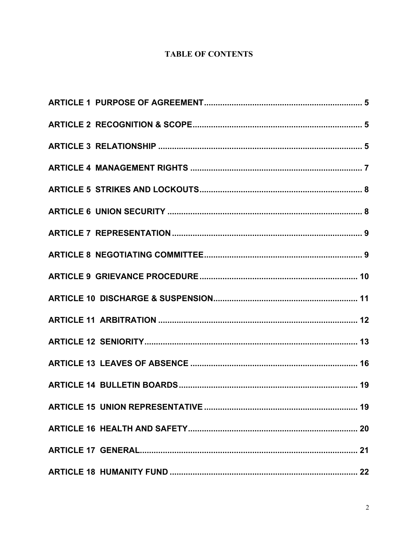## **TABLE OF CONTENTS**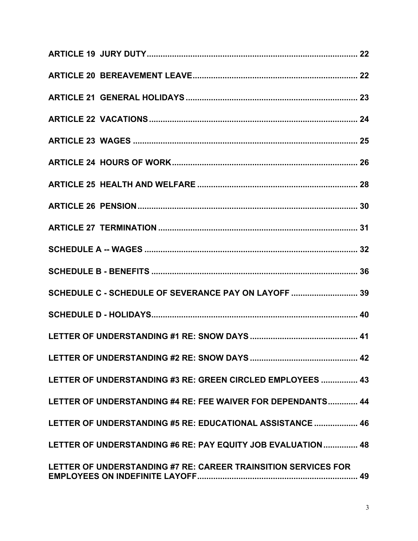| SCHEDULE C - SCHEDULE OF SEVERANCE PAY ON LAYOFF  39           |
|----------------------------------------------------------------|
|                                                                |
|                                                                |
|                                                                |
| LETTER OF UNDERSTANDING #3 RE: GREEN CIRCLED EMPLOYEES  43     |
| LETTER OF UNDERSTANDING #4 RE: FEE WAIVER FOR DEPENDANTS 44    |
| LETTER OF UNDERSTANDING #5 RE: EDUCATIONAL ASSISTANCE  46      |
| LETTER OF UNDERSTANDING #6 RE: PAY EQUITY JOB EVALUATION 48    |
| LETTER OF UNDERSTANDING #7 RE: CAREER TRAINSITION SERVICES FOR |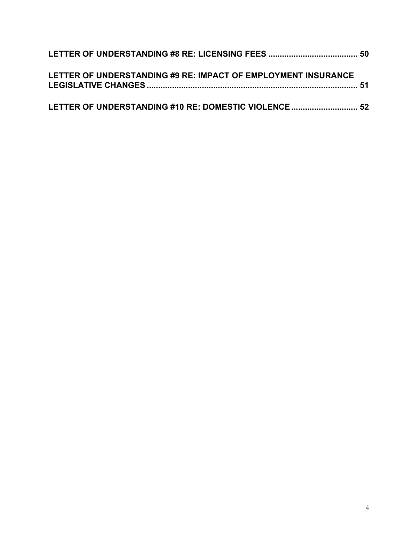| LETTER OF UNDERSTANDING #9 RE: IMPACT OF EMPLOYMENT INSURANCE |  |
|---------------------------------------------------------------|--|
| LETTER OF UNDERSTANDING #10 RE: DOMESTIC VIOLENCE 52          |  |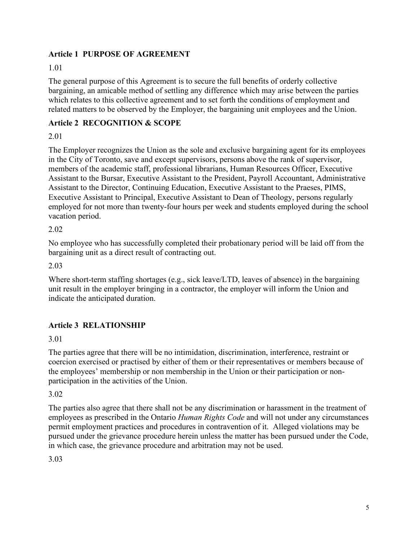#### **Article 1 PURPOSE OF AGREEMENT**

#### 1.01

The general purpose of this Agreement is to secure the full benefits of orderly collective bargaining, an amicable method of settling any difference which may arise between the parties which relates to this collective agreement and to set forth the conditions of employment and related matters to be observed by the Employer, the bargaining unit employees and the Union.

## **Article 2 RECOGNITION & SCOPE**

#### 2.01

The Employer recognizes the Union as the sole and exclusive bargaining agent for its employees in the City of Toronto, save and except supervisors, persons above the rank of supervisor, members of the academic staff, professional librarians, Human Resources Officer, Executive Assistant to the Bursar, Executive Assistant to the President, Payroll Accountant, Administrative Assistant to the Director, Continuing Education, Executive Assistant to the Praeses, PIMS, Executive Assistant to Principal, Executive Assistant to Dean of Theology, persons regularly employed for not more than twenty-four hours per week and students employed during the school vacation period.

#### 2.02

No employee who has successfully completed their probationary period will be laid off from the bargaining unit as a direct result of contracting out.

2.03

Where short-term staffing shortages (e.g., sick leave/LTD, leaves of absence) in the bargaining unit result in the employer bringing in a contractor, the employer will inform the Union and indicate the anticipated duration.

## **Article 3 RELATIONSHIP**

3.01

The parties agree that there will be no intimidation, discrimination, interference, restraint or coercion exercised or practised by either of them or their representatives or members because of the employees' membership or non membership in the Union or their participation or nonparticipation in the activities of the Union.

3.02

The parties also agree that there shall not be any discrimination or harassment in the treatment of employees as prescribed in the Ontario *Human Rights Code* and will not under any circumstances permit employment practices and procedures in contravention of it. Alleged violations may be pursued under the grievance procedure herein unless the matter has been pursued under the Code, in which case, the grievance procedure and arbitration may not be used.

3.03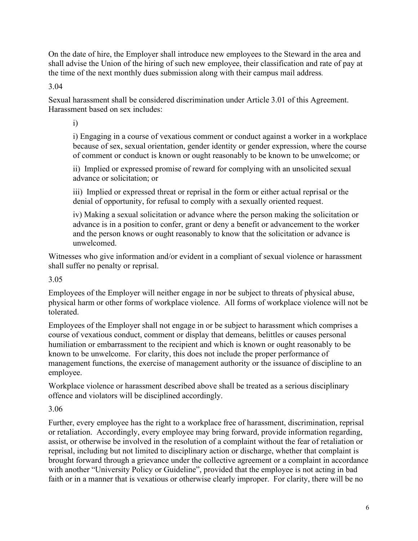On the date of hire, the Employer shall introduce new employees to the Steward in the area and shall advise the Union of the hiring of such new employee, their classification and rate of pay at the time of the next monthly dues submission along with their campus mail address*.*

3.04

Sexual harassment shall be considered discrimination under Article 3.01 of this Agreement. Harassment based on sex includes:

i)

i) Engaging in a course of vexatious comment or conduct against a worker in a workplace because of sex, sexual orientation, gender identity or gender expression, where the course of comment or conduct is known or ought reasonably to be known to be unwelcome; or

ii) Implied or expressed promise of reward for complying with an unsolicited sexual advance or solicitation; or

iii) Implied or expressed threat or reprisal in the form or either actual reprisal or the denial of opportunity, for refusal to comply with a sexually oriented request.

iv) Making a sexual solicitation or advance where the person making the solicitation or advance is in a position to confer, grant or deny a benefit or advancement to the worker and the person knows or ought reasonably to know that the solicitation or advance is unwelcomed.

Witnesses who give information and/or evident in a compliant of sexual violence or harassment shall suffer no penalty or reprisal.

3.05

Employees of the Employer will neither engage in nor be subject to threats of physical abuse, physical harm or other forms of workplace violence. All forms of workplace violence will not be tolerated.

Employees of the Employer shall not engage in or be subject to harassment which comprises a course of vexatious conduct, comment or display that demeans, belittles or causes personal humiliation or embarrassment to the recipient and which is known or ought reasonably to be known to be unwelcome. For clarity, this does not include the proper performance of management functions, the exercise of management authority or the issuance of discipline to an employee.

Workplace violence or harassment described above shall be treated as a serious disciplinary offence and violators will be disciplined accordingly.

3.06

Further, every employee has the right to a workplace free of harassment, discrimination, reprisal or retaliation. Accordingly, every employee may bring forward, provide information regarding, assist, or otherwise be involved in the resolution of a complaint without the fear of retaliation or reprisal, including but not limited to disciplinary action or discharge, whether that complaint is brought forward through a grievance under the collective agreement or a complaint in accordance with another "University Policy or Guideline", provided that the employee is not acting in bad faith or in a manner that is vexatious or otherwise clearly improper. For clarity, there will be no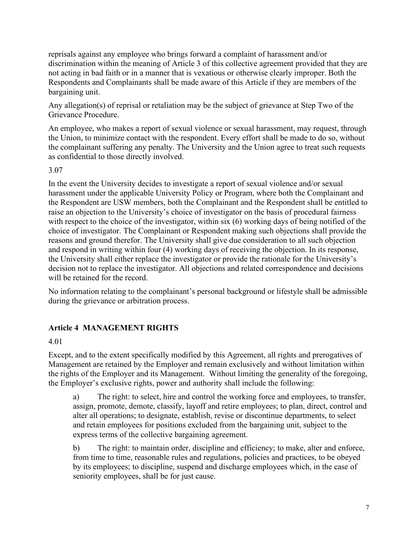reprisals against any employee who brings forward a complaint of harassment and/or discrimination within the meaning of Article 3 of this collective agreement provided that they are not acting in bad faith or in a manner that is vexatious or otherwise clearly improper. Both the Respondents and Complainants shall be made aware of this Article if they are members of the bargaining unit.

Any allegation(s) of reprisal or retaliation may be the subject of grievance at Step Two of the Grievance Procedure.

An employee, who makes a report of sexual violence or sexual harassment, may request, through the Union, to minimize contact with the respondent. Every effort shall be made to do so, without the complainant suffering any penalty. The University and the Union agree to treat such requests as confidential to those directly involved.

3.07

In the event the University decides to investigate a report of sexual violence and/or sexual harassment under the applicable University Policy or Program, where both the Complainant and the Respondent are USW members, both the Complainant and the Respondent shall be entitled to raise an objection to the University's choice of investigator on the basis of procedural fairness with respect to the choice of the investigator, within six (6) working days of being notified of the choice of investigator. The Complainant or Respondent making such objections shall provide the reasons and ground therefor. The University shall give due consideration to all such objection and respond in writing within four (4) working days of receiving the objection. In its response, the University shall either replace the investigator or provide the rationale for the University's decision not to replace the investigator. All objections and related correspondence and decisions will be retained for the record.

No information relating to the complainant's personal background or lifestyle shall be admissible during the grievance or arbitration process.

## **Article 4 MANAGEMENT RIGHTS**

4.01

Except, and to the extent specifically modified by this Agreement, all rights and prerogatives of Management are retained by the Employer and remain exclusively and without limitation within the rights of the Employer and its Management. Without limiting the generality of the foregoing, the Employer's exclusive rights, power and authority shall include the following:

a) The right: to select, hire and control the working force and employees, to transfer, assign, promote, demote, classify, layoff and retire employees; to plan, direct, control and alter all operations; to designate, establish, revise or discontinue departments, to select and retain employees for positions excluded from the bargaining unit, subject to the express terms of the collective bargaining agreement.

b) The right: to maintain order, discipline and efficiency; to make, alter and enforce, from time to time, reasonable rules and regulations, policies and practices, to be obeyed by its employees; to discipline, suspend and discharge employees which, in the case of seniority employees, shall be for just cause.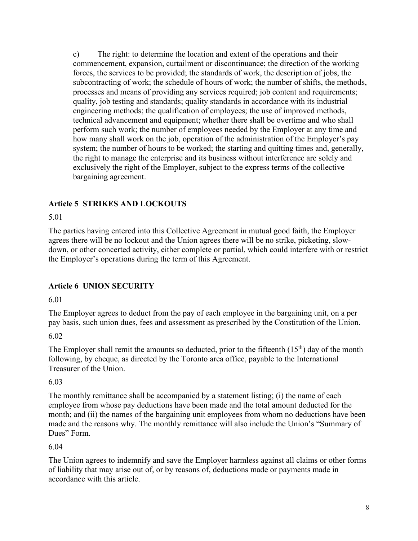c) The right: to determine the location and extent of the operations and their commencement, expansion, curtailment or discontinuance; the direction of the working forces, the services to be provided; the standards of work, the description of jobs, the subcontracting of work; the schedule of hours of work; the number of shifts, the methods, processes and means of providing any services required; job content and requirements; quality, job testing and standards; quality standards in accordance with its industrial engineering methods; the qualification of employees; the use of improved methods, technical advancement and equipment; whether there shall be overtime and who shall perform such work; the number of employees needed by the Employer at any time and how many shall work on the job, operation of the administration of the Employer's pay system; the number of hours to be worked; the starting and quitting times and, generally, the right to manage the enterprise and its business without interference are solely and exclusively the right of the Employer, subject to the express terms of the collective bargaining agreement.

## **Article 5 STRIKES AND LOCKOUTS**

#### 5.01

The parties having entered into this Collective Agreement in mutual good faith, the Employer agrees there will be no lockout and the Union agrees there will be no strike, picketing, slowdown, or other concerted activity, either complete or partial, which could interfere with or restrict the Employer's operations during the term of this Agreement.

## **Article 6 UNION SECURITY**

6.01

The Employer agrees to deduct from the pay of each employee in the bargaining unit, on a per pay basis, such union dues, fees and assessment as prescribed by the Constitution of the Union.

6.02

The Employer shall remit the amounts so deducted, prior to the fifteenth  $(15<sup>th</sup>)$  day of the month following, by cheque, as directed by the Toronto area office, payable to the International Treasurer of the Union.

## 6.03

The monthly remittance shall be accompanied by a statement listing; (i) the name of each employee from whose pay deductions have been made and the total amount deducted for the month; and (ii) the names of the bargaining unit employees from whom no deductions have been made and the reasons why. The monthly remittance will also include the Union's "Summary of Dues" Form.

## 6.04

The Union agrees to indemnify and save the Employer harmless against all claims or other forms of liability that may arise out of, or by reasons of, deductions made or payments made in accordance with this article.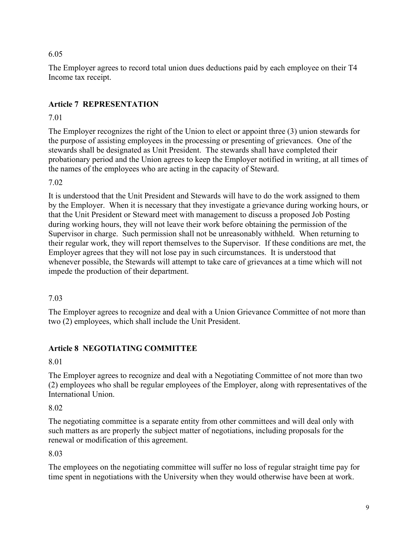#### 6.05

The Employer agrees to record total union dues deductions paid by each employee on their T4 Income tax receipt.

## **Article 7 REPRESENTATION**

## 7.01

The Employer recognizes the right of the Union to elect or appoint three (3) union stewards for the purpose of assisting employees in the processing or presenting of grievances. One of the stewards shall be designated as Unit President. The stewards shall have completed their probationary period and the Union agrees to keep the Employer notified in writing, at all times of the names of the employees who are acting in the capacity of Steward.

7.02

It is understood that the Unit President and Stewards will have to do the work assigned to them by the Employer. When it is necessary that they investigate a grievance during working hours, or that the Unit President or Steward meet with management to discuss a proposed Job Posting during working hours, they will not leave their work before obtaining the permission of the Supervisor in charge. Such permission shall not be unreasonably withheld. When returning to their regular work, they will report themselves to the Supervisor. If these conditions are met, the Employer agrees that they will not lose pay in such circumstances. It is understood that whenever possible, the Stewards will attempt to take care of grievances at a time which will not impede the production of their department.

## 7.03

The Employer agrees to recognize and deal with a Union Grievance Committee of not more than two (2) employees, which shall include the Unit President.

## **Article 8 NEGOTIATING COMMITTEE**

#### 8.01

The Employer agrees to recognize and deal with a Negotiating Committee of not more than two (2) employees who shall be regular employees of the Employer, along with representatives of the International Union.

## 8.02

The negotiating committee is a separate entity from other committees and will deal only with such matters as are properly the subject matter of negotiations, including proposals for the renewal or modification of this agreement.

## 8.03

The employees on the negotiating committee will suffer no loss of regular straight time pay for time spent in negotiations with the University when they would otherwise have been at work.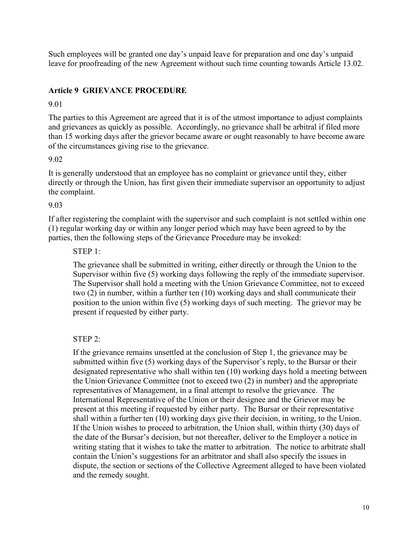Such employees will be granted one day's unpaid leave for preparation and one day's unpaid leave for proofreading of the new Agreement without such time counting towards Article 13.02.

#### **Article 9 GRIEVANCE PROCEDURE**

9.01

The parties to this Agreement are agreed that it is of the utmost importance to adjust complaints and grievances as quickly as possible. Accordingly, no grievance shall be arbitral if filed more than 15 working days after the grievor became aware or ought reasonably to have become aware of the circumstances giving rise to the grievance.

#### 9.02

It is generally understood that an employee has no complaint or grievance until they, either directly or through the Union, has first given their immediate supervisor an opportunity to adjust the complaint.

#### 9.03

If after registering the complaint with the supervisor and such complaint is not settled within one (1) regular working day or within any longer period which may have been agreed to by the parties, then the following steps of the Grievance Procedure may be invoked:

#### STEP 1:

The grievance shall be submitted in writing, either directly or through the Union to the Supervisor within five (5) working days following the reply of the immediate supervisor. The Supervisor shall hold a meeting with the Union Grievance Committee, not to exceed two (2) in number, within a further ten (10) working days and shall communicate their position to the union within five (5) working days of such meeting. The grievor may be present if requested by either party.

#### STEP 2:

If the grievance remains unsettled at the conclusion of Step 1, the grievance may be submitted within five (5) working days of the Supervisor's reply, to the Bursar or their designated representative who shall within ten (10) working days hold a meeting between the Union Grievance Committee (not to exceed two (2) in number) and the appropriate representatives of Management, in a final attempt to resolve the grievance. The International Representative of the Union or their designee and the Grievor may be present at this meeting if requested by either party. The Bursar or their representative shall within a further ten (10) working days give their decision, in writing, to the Union. If the Union wishes to proceed to arbitration, the Union shall, within thirty (30) days of the date of the Bursar's decision, but not thereafter, deliver to the Employer a notice in writing stating that it wishes to take the matter to arbitration. The notice to arbitrate shall contain the Union's suggestions for an arbitrator and shall also specify the issues in dispute, the section or sections of the Collective Agreement alleged to have been violated and the remedy sought.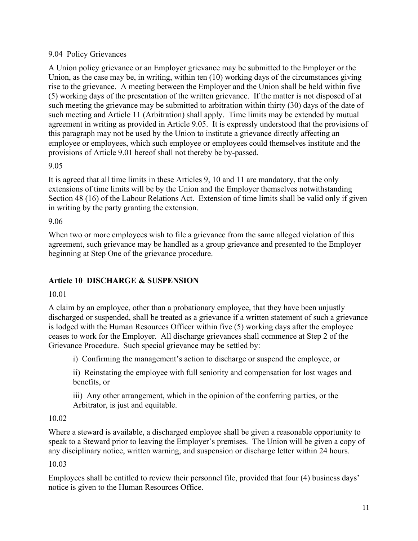#### 9.04 Policy Grievances

A Union policy grievance or an Employer grievance may be submitted to the Employer or the Union, as the case may be, in writing, within ten (10) working days of the circumstances giving rise to the grievance. A meeting between the Employer and the Union shall be held within five (5) working days of the presentation of the written grievance. If the matter is not disposed of at such meeting the grievance may be submitted to arbitration within thirty (30) days of the date of such meeting and Article 11 (Arbitration) shall apply. Time limits may be extended by mutual agreement in writing as provided in Article 9.05. It is expressly understood that the provisions of this paragraph may not be used by the Union to institute a grievance directly affecting an employee or employees, which such employee or employees could themselves institute and the provisions of Article 9.01 hereof shall not thereby be by-passed.

#### 9.05

It is agreed that all time limits in these Articles 9, 10 and 11 are mandatory, that the only extensions of time limits will be by the Union and the Employer themselves notwithstanding Section 48 (16) of the Labour Relations Act. Extension of time limits shall be valid only if given in writing by the party granting the extension.

#### 9.06

When two or more employees wish to file a grievance from the same alleged violation of this agreement, such grievance may be handled as a group grievance and presented to the Employer beginning at Step One of the grievance procedure.

## **Article 10 DISCHARGE & SUSPENSION**

## 10.01

A claim by an employee, other than a probationary employee, that they have been unjustly discharged or suspended, shall be treated as a grievance if a written statement of such a grievance is lodged with the Human Resources Officer within five (5) working days after the employee ceases to work for the Employer. All discharge grievances shall commence at Step 2 of the Grievance Procedure. Such special grievance may be settled by:

i) Confirming the management's action to discharge or suspend the employee, or

ii) Reinstating the employee with full seniority and compensation for lost wages and benefits, or

iii) Any other arrangement, which in the opinion of the conferring parties, or the Arbitrator, is just and equitable.

## 10.02

Where a steward is available, a discharged employee shall be given a reasonable opportunity to speak to a Steward prior to leaving the Employer's premises. The Union will be given a copy of any disciplinary notice, written warning, and suspension or discharge letter within 24 hours.

## 10.03

Employees shall be entitled to review their personnel file, provided that four (4) business days' notice is given to the Human Resources Office.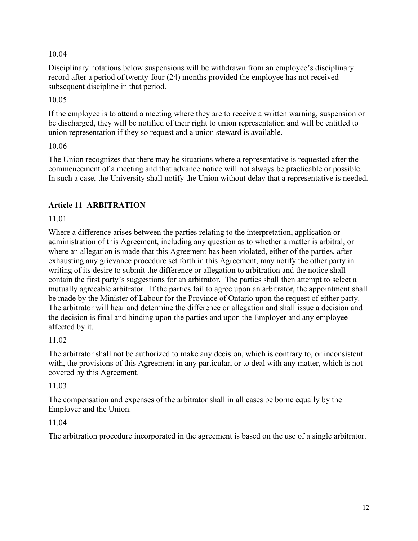10.04

Disciplinary notations below suspensions will be withdrawn from an employee's disciplinary record after a period of twenty-four (24) months provided the employee has not received subsequent discipline in that period.

10.05

If the employee is to attend a meeting where they are to receive a written warning, suspension or be discharged, they will be notified of their right to union representation and will be entitled to union representation if they so request and a union steward is available.

10.06

The Union recognizes that there may be situations where a representative is requested after the commencement of a meeting and that advance notice will not always be practicable or possible. In such a case, the University shall notify the Union without delay that a representative is needed.

## **Article 11 ARBITRATION**

11.01

Where a difference arises between the parties relating to the interpretation, application or administration of this Agreement, including any question as to whether a matter is arbitral, or where an allegation is made that this Agreement has been violated, either of the parties, after exhausting any grievance procedure set forth in this Agreement, may notify the other party in writing of its desire to submit the difference or allegation to arbitration and the notice shall contain the first party's suggestions for an arbitrator. The parties shall then attempt to select a mutually agreeable arbitrator. If the parties fail to agree upon an arbitrator, the appointment shall be made by the Minister of Labour for the Province of Ontario upon the request of either party. The arbitrator will hear and determine the difference or allegation and shall issue a decision and the decision is final and binding upon the parties and upon the Employer and any employee affected by it.

## 11.02

The arbitrator shall not be authorized to make any decision, which is contrary to, or inconsistent with, the provisions of this Agreement in any particular, or to deal with any matter, which is not covered by this Agreement.

## 11.03

The compensation and expenses of the arbitrator shall in all cases be borne equally by the Employer and the Union.

## 11.04

The arbitration procedure incorporated in the agreement is based on the use of a single arbitrator.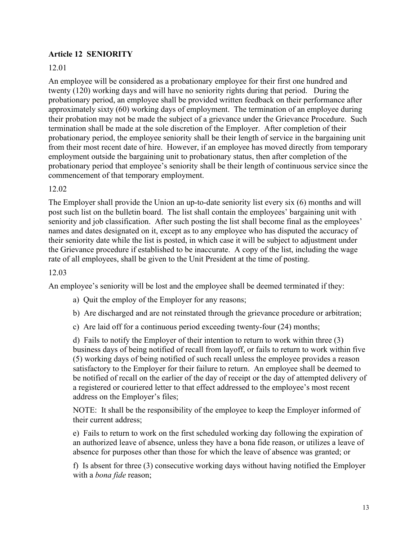#### **Article 12 SENIORITY**

#### 12.01

An employee will be considered as a probationary employee for their first one hundred and twenty (120) working days and will have no seniority rights during that period. During the probationary period, an employee shall be provided written feedback on their performance after approximately sixty (60) working days of employment. The termination of an employee during their probation may not be made the subject of a grievance under the Grievance Procedure. Such termination shall be made at the sole discretion of the Employer. After completion of their probationary period, the employee seniority shall be their length of service in the bargaining unit from their most recent date of hire. However, if an employee has moved directly from temporary employment outside the bargaining unit to probationary status, then after completion of the probationary period that employee's seniority shall be their length of continuous service since the commencement of that temporary employment.

#### 12.02

The Employer shall provide the Union an up-to-date seniority list every six (6) months and will post such list on the bulletin board. The list shall contain the employees' bargaining unit with seniority and job classification. After such posting the list shall become final as the employees' names and dates designated on it, except as to any employee who has disputed the accuracy of their seniority date while the list is posted, in which case it will be subject to adjustment under the Grievance procedure if established to be inaccurate. A copy of the list, including the wage rate of all employees, shall be given to the Unit President at the time of posting.

#### 12.03

An employee's seniority will be lost and the employee shall be deemed terminated if they:

- a) Quit the employ of the Employer for any reasons;
- b) Are discharged and are not reinstated through the grievance procedure or arbitration;
- c) Are laid off for a continuous period exceeding twenty-four (24) months;

d) Fails to notify the Employer of their intention to return to work within three (3) business days of being notified of recall from layoff, or fails to return to work within five (5) working days of being notified of such recall unless the employee provides a reason satisfactory to the Employer for their failure to return. An employee shall be deemed to be notified of recall on the earlier of the day of receipt or the day of attempted delivery of a registered or couriered letter to that effect addressed to the employee's most recent address on the Employer's files;

NOTE: It shall be the responsibility of the employee to keep the Employer informed of their current address;

e) Fails to return to work on the first scheduled working day following the expiration of an authorized leave of absence, unless they have a bona fide reason, or utilizes a leave of absence for purposes other than those for which the leave of absence was granted; or

f) Is absent for three (3) consecutive working days without having notified the Employer with a *bona fide* reason;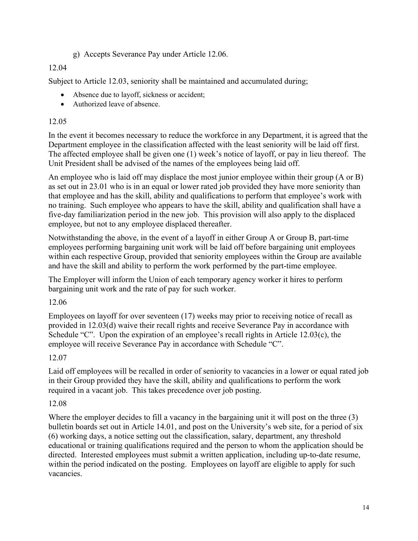g) Accepts Severance Pay under Article 12.06.

## 12.04

Subject to Article 12.03, seniority shall be maintained and accumulated during;

- Absence due to layoff, sickness or accident;
- Authorized leave of absence.

## 12.05

In the event it becomes necessary to reduce the workforce in any Department, it is agreed that the Department employee in the classification affected with the least seniority will be laid off first. The affected employee shall be given one (1) week's notice of layoff, or pay in lieu thereof. The Unit President shall be advised of the names of the employees being laid off.

An employee who is laid off may displace the most junior employee within their group (A or B) as set out in 23.01 who is in an equal or lower rated job provided they have more seniority than that employee and has the skill, ability and qualifications to perform that employee's work with no training. Such employee who appears to have the skill, ability and qualification shall have a five-day familiarization period in the new job. This provision will also apply to the displaced employee, but not to any employee displaced thereafter.

Notwithstanding the above, in the event of a layoff in either Group A or Group B, part-time employees performing bargaining unit work will be laid off before bargaining unit employees within each respective Group, provided that seniority employees within the Group are available and have the skill and ability to perform the work performed by the part-time employee.

The Employer will inform the Union of each temporary agency worker it hires to perform bargaining unit work and the rate of pay for such worker.

## 12.06

Employees on layoff for over seventeen (17) weeks may prior to receiving notice of recall as provided in 12.03(d) waive their recall rights and receive Severance Pay in accordance with Schedule "C". Upon the expiration of an employee's recall rights in Article 12.03(c), the employee will receive Severance Pay in accordance with Schedule "C".

## 12.07

Laid off employees will be recalled in order of seniority to vacancies in a lower or equal rated job in their Group provided they have the skill, ability and qualifications to perform the work required in a vacant job. This takes precedence over job posting.

## 12.08

Where the employer decides to fill a vacancy in the bargaining unit it will post on the three (3) bulletin boards set out in Article 14.01, and post on the University's web site, for a period of six (6) working days, a notice setting out the classification, salary, department, any threshold educational or training qualifications required and the person to whom the application should be directed. Interested employees must submit a written application, including up-to-date resume, within the period indicated on the posting. Employees on layoff are eligible to apply for such vacancies.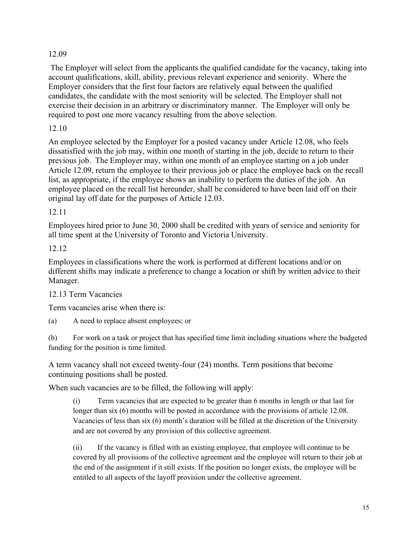## 12.09

The Employer will select from the applicants the qualified candidate for the vacancy, taking into account qualifications, skill, ability, previous relevant experience and seniority. Where the Employer considers that the first four factors are relatively equal between the qualified candidates, the candidate with the most seniority will be selected. The Employer shall not exercise their decision in an arbitrary or discriminatory manner. The Employer will only be required to post one more vacancy resulting from the above selection.

## 12.10

An employee selected by the Employer for a posted vacancy under Article 12.08, who feels dissatisfied with the job may, within one month of starting in the job, decide to return to their previous job. The Employer may, within one month of an employee starting on a job under Article 12.09, return the employee to their previous job or place the employee back on the recall list, as appropriate, if the employee shows an inability to perform the duties of the job. An employee placed on the recall list hereunder, shall be considered to have been laid off on their original lay off date for the purposes of Article 12.03.

#### 12.11

Employees hired prior to June 30, 2000 shall be credited with years of service and seniority for all time spent at the University of Toronto and Victoria University.

#### 12.12

Employees in classifications where the work is performed at different locations and/or on different shifts may indicate a preference to change a location or shift by written advice to their Manager.

## 12.13 Term Vacancies

Term vacancies arise when there is:

(a) A need to replace absent employees; or

(b) For work on a task or project that has specified time limit including situations where the budgeted funding for the position is time limited.

A term vacancy shall not exceed twenty-four (24) months. Term positions that become continuing positions shall be posted.

When such vacancies are to be filled, the following will apply:

(i) Term vacancies that are expected to be greater than 6 months in length or that last for longer than six (6) months will be posted in accordance with the provisions of article 12.08. Vacancies of less than six (6) month's duration will be filled at the discretion of the University and are not covered by any provision of this collective agreement.

(ii) If the vacancy is filled with an existing employee, that employee will continue to be covered by all provisions of the collective agreement and the employee will return to their job at the end of the assignment if it still exists. If the position no longer exists, the employee will be entitled to all aspects of the layoff provision under the collective agreement.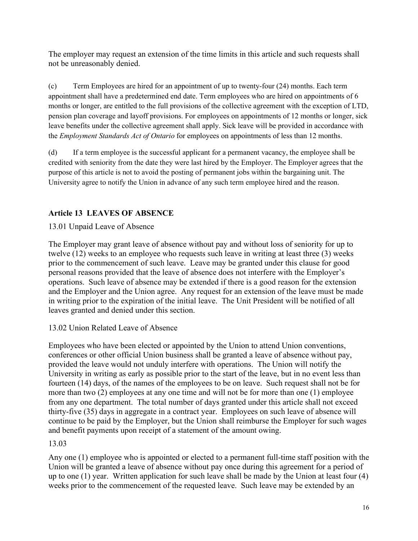The employer may request an extension of the time limits in this article and such requests shall not be unreasonably denied.

(c) Term Employees are hired for an appointment of up to twenty-four (24) months. Each term appointment shall have a predetermined end date. Term employees who are hired on appointments of 6 months or longer, are entitled to the full provisions of the collective agreement with the exception of LTD, pension plan coverage and layoff provisions. For employees on appointments of 12 months or longer, sick leave benefits under the collective agreement shall apply. Sick leave will be provided in accordance with the *Employment Standards Act of Ontario* for employees on appointments of less than 12 months.

(d) If a term employee is the successful applicant for a permanent vacancy, the employee shall be credited with seniority from the date they were last hired by the Employer. The Employer agrees that the purpose of this article is not to avoid the posting of permanent jobs within the bargaining unit. The University agree to notify the Union in advance of any such term employee hired and the reason.

## **Article 13 LEAVES OF ABSENCE**

13.01 Unpaid Leave of Absence

The Employer may grant leave of absence without pay and without loss of seniority for up to twelve (12) weeks to an employee who requests such leave in writing at least three (3) weeks prior to the commencement of such leave. Leave may be granted under this clause for good personal reasons provided that the leave of absence does not interfere with the Employer's operations. Such leave of absence may be extended if there is a good reason for the extension and the Employer and the Union agree. Any request for an extension of the leave must be made in writing prior to the expiration of the initial leave. The Unit President will be notified of all leaves granted and denied under this section.

## 13.02 Union Related Leave of Absence

Employees who have been elected or appointed by the Union to attend Union conventions, conferences or other official Union business shall be granted a leave of absence without pay, provided the leave would not unduly interfere with operations. The Union will notify the University in writing as early as possible prior to the start of the leave, but in no event less than fourteen (14) days, of the names of the employees to be on leave. Such request shall not be for more than two (2) employees at any one time and will not be for more than one (1) employee from any one department. The total number of days granted under this article shall not exceed thirty-five (35) days in aggregate in a contract year. Employees on such leave of absence will continue to be paid by the Employer, but the Union shall reimburse the Employer for such wages and benefit payments upon receipt of a statement of the amount owing.

## 13.03

Any one (1) employee who is appointed or elected to a permanent full-time staff position with the Union will be granted a leave of absence without pay once during this agreement for a period of up to one (1) year. Written application for such leave shall be made by the Union at least four (4) weeks prior to the commencement of the requested leave. Such leave may be extended by an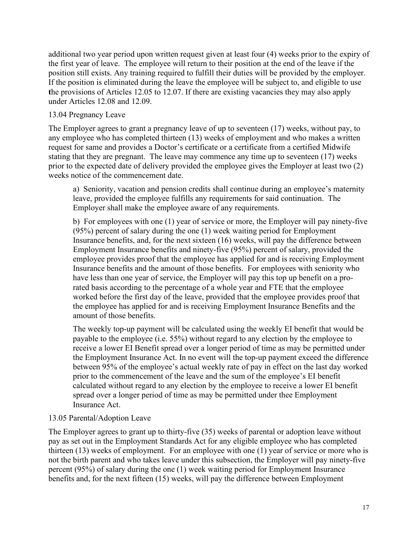additional two year period upon written request given at least four (4) weeks prior to the expiry of the first year of leave.The employee will return to their position at the end of the leave if the position still exists. Any training required to fulfill their duties will be provided by the employer. If the position is eliminated during the leave the employee will be subject to, and eligible to use **t**he provisions of Articles 12.05 to 12.07. If there are existing vacancies they may also apply under Articles 12.08 and 12.09.

#### 13.04 Pregnancy Leave

The Employer agrees to grant a pregnancy leave of up to seventeen (17) weeks, without pay, to any employee who has completed thirteen (13) weeks of employment and who makes a written request for same and provides a Doctor's certificate or a certificate from a certified Midwife stating that they are pregnant. The leave may commence any time up to seventeen (17) weeks prior to the expected date of delivery provided the employee gives the Employer at least two (2) weeks notice of the commencement date.

a) Seniority, vacation and pension credits shall continue during an employee's maternity leave, provided the employee fulfills any requirements for said continuation. The Employer shall make the employee aware of any requirements.

b) For employees with one (1) year of service or more, the Employer will pay ninety-five (95%) percent of salary during the one (1) week waiting period for Employment Insurance benefits, and, for the next sixteen (16) weeks, will pay the difference between Employment Insurance benefits and ninety-five (95%) percent of salary, provided the employee provides proof that the employee has applied for and is receiving Employment Insurance benefits and the amount of those benefits.For employees with seniority who have less than one year of service, the Employer will pay this top up benefit on a prorated basis according to the percentage of a whole year and FTE that the employee worked before the first day of the leave, provided that the employee provides proof that the employee has applied for and is receiving Employment Insurance Benefits and the amount of those benefits.

The weekly top-up payment will be calculated using the weekly EI benefit that would be payable to the employee (i.e. 55%) without regard to any election by the employee to receive a lower EI Benefit spread over a longer period of time as may be permitted under the Employment Insurance Act. In no event will the top-up payment exceed the difference between 95% of the employee's actual weekly rate of pay in effect on the last day worked prior to the commencement of the leave and the sum of the employee's EI benefit calculated without regard to any election by the employee to receive a lower EI benefit spread over a longer period of time as may be permitted under thee Employment Insurance Act.

#### 13.05 Parental/Adoption Leave

The Employer agrees to grant up to thirty-five (35) weeks of parental or adoption leave without pay as set out in the Employment Standards Act for any eligible employee who has completed thirteen (13) weeks of employment. For an employee with one (1) year of service or more who is not the birth parent and who takes leave under this subsection, the Employer will pay ninety-five percent (95%) of salary during the one (1) week waiting period for Employment Insurance benefits and, for the next fifteen (15) weeks, will pay the difference between Employment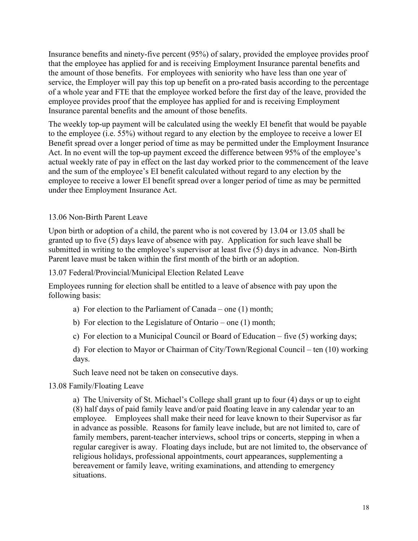Insurance benefits and ninety-five percent (95%) of salary, provided the employee provides proof that the employee has applied for and is receiving Employment Insurance parental benefits and the amount of those benefits. For employees with seniority who have less than one year of service, the Employer will pay this top up benefit on a pro-rated basis according to the percentage of a whole year and FTE that the employee worked before the first day of the leave, provided the employee provides proof that the employee has applied for and is receiving Employment Insurance parental benefits and the amount of those benefits.

The weekly top-up payment will be calculated using the weekly EI benefit that would be payable to the employee (i.e. 55%) without regard to any election by the employee to receive a lower EI Benefit spread over a longer period of time as may be permitted under the Employment Insurance Act. In no event will the top-up payment exceed the difference between 95% of the employee's actual weekly rate of pay in effect on the last day worked prior to the commencement of the leave and the sum of the employee's EI benefit calculated without regard to any election by the employee to receive a lower EI benefit spread over a longer period of time as may be permitted under thee Employment Insurance Act.

#### 13.06 Non-Birth Parent Leave

Upon birth or adoption of a child, the parent who is not covered by 13.04 or 13.05 shall be granted up to five (5) days leave of absence with pay. Application for such leave shall be submitted in writing to the employee's supervisor at least five (5) days in advance. Non-Birth Parent leave must be taken within the first month of the birth or an adoption.

13.07 Federal/Provincial/Municipal Election Related Leave

Employees running for election shall be entitled to a leave of absence with pay upon the following basis:

- a) For election to the Parliament of Canada one (1) month;
- b) For election to the Legislature of Ontario one (1) month;
- c) For election to a Municipal Council or Board of Education five (5) working days;

d) For election to Mayor or Chairman of City/Town/Regional Council – ten (10) working days.

Such leave need not be taken on consecutive days.

#### 13.08 Family/Floating Leave

a) The University of St. Michael's College shall grant up to four (4) days or up to eight (8) half days of paid family leave and/or paid floating leave in any calendar year to an employee. Employees shall make their need for leave known to their Supervisor as far in advance as possible. Reasons for family leave include, but are not limited to, care of family members, parent-teacher interviews, school trips or concerts, stepping in when a regular caregiver is away. Floating days include, but are not limited to, the observance of religious holidays, professional appointments, court appearances, supplementing a bereavement or family leave, writing examinations, and attending to emergency situations.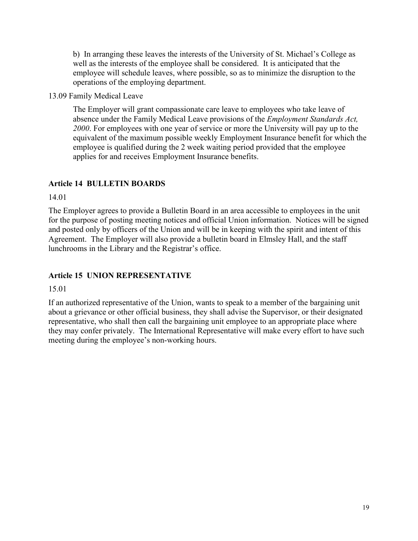b) In arranging these leaves the interests of the University of St. Michael's College as well as the interests of the employee shall be considered. It is anticipated that the employee will schedule leaves, where possible, so as to minimize the disruption to the operations of the employing department.

13.09 Family Medical Leave

The Employer will grant compassionate care leave to employees who take leave of absence under the Family Medical Leave provisions of the *Employment Standards Act, 2000*. For employees with one year of service or more the University will pay up to the equivalent of the maximum possible weekly Employment Insurance benefit for which the employee is qualified during the 2 week waiting period provided that the employee applies for and receives Employment Insurance benefits.

## **Article 14 BULLETIN BOARDS**

14.01

The Employer agrees to provide a Bulletin Board in an area accessible to employees in the unit for the purpose of posting meeting notices and official Union information. Notices will be signed and posted only by officers of the Union and will be in keeping with the spirit and intent of this Agreement. The Employer will also provide a bulletin board in Elmsley Hall, and the staff lunchrooms in the Library and the Registrar's office.

## **Article 15 UNION REPRESENTATIVE**

15.01

If an authorized representative of the Union, wants to speak to a member of the bargaining unit about a grievance or other official business, they shall advise the Supervisor, or their designated representative, who shall then call the bargaining unit employee to an appropriate place where they may confer privately. The International Representative will make every effort to have such meeting during the employee's non-working hours.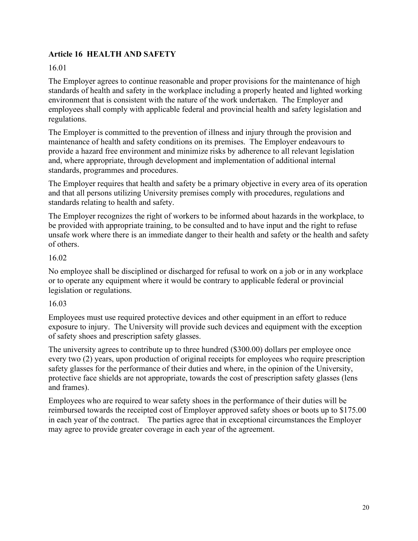## **Article 16 HEALTH AND SAFETY**

#### 16.01

The Employer agrees to continue reasonable and proper provisions for the maintenance of high standards of health and safety in the workplace including a properly heated and lighted working environment that is consistent with the nature of the work undertaken. The Employer and employees shall comply with applicable federal and provincial health and safety legislation and regulations.

The Employer is committed to the prevention of illness and injury through the provision and maintenance of health and safety conditions on its premises. The Employer endeavours to provide a hazard free environment and minimize risks by adherence to all relevant legislation and, where appropriate, through development and implementation of additional internal standards, programmes and procedures.

The Employer requires that health and safety be a primary objective in every area of its operation and that all persons utilizing University premises comply with procedures, regulations and standards relating to health and safety.

The Employer recognizes the right of workers to be informed about hazards in the workplace, to be provided with appropriate training, to be consulted and to have input and the right to refuse unsafe work where there is an immediate danger to their health and safety or the health and safety of others.

#### 16.02

No employee shall be disciplined or discharged for refusal to work on a job or in any workplace or to operate any equipment where it would be contrary to applicable federal or provincial legislation or regulations.

#### 16.03

Employees must use required protective devices and other equipment in an effort to reduce exposure to injury. The University will provide such devices and equipment with the exception of safety shoes and prescription safety glasses.

The university agrees to contribute up to three hundred (\$300.00) dollars per employee once every two (2) years, upon production of original receipts for employees who require prescription safety glasses for the performance of their duties and where, in the opinion of the University, protective face shields are not appropriate, towards the cost of prescription safety glasses (lens and frames).

Employees who are required to wear safety shoes in the performance of their duties will be reimbursed towards the receipted cost of Employer approved safety shoes or boots up to \$175.00 in each year of the contract. The parties agree that in exceptional circumstances the Employer may agree to provide greater coverage in each year of the agreement.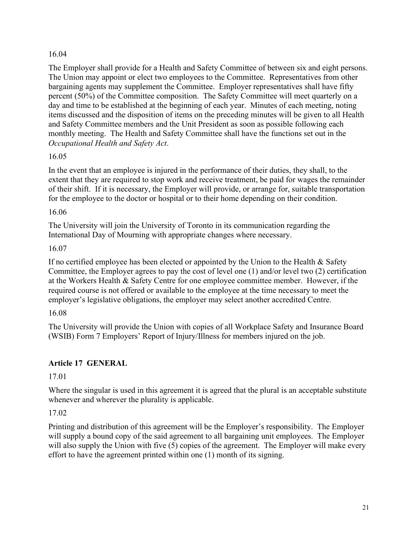#### 16.04

The Employer shall provide for a Health and Safety Committee of between six and eight persons. The Union may appoint or elect two employees to the Committee. Representatives from other bargaining agents may supplement the Committee. Employer representatives shall have fifty percent (50%) of the Committee composition. The Safety Committee will meet quarterly on a day and time to be established at the beginning of each year. Minutes of each meeting, noting items discussed and the disposition of items on the preceding minutes will be given to all Health and Safety Committee members and the Unit President as soon as possible following each monthly meeting. The Health and Safety Committee shall have the functions set out in the *Occupational Health and Safety Act*.

#### 16.05

In the event that an employee is injured in the performance of their duties, they shall, to the extent that they are required to stop work and receive treatment, be paid for wages the remainder of their shift. If it is necessary, the Employer will provide, or arrange for, suitable transportation for the employee to the doctor or hospital or to their home depending on their condition.

16.06

The University will join the University of Toronto in its communication regarding the International Day of Mourning with appropriate changes where necessary.

16.07

If no certified employee has been elected or appointed by the Union to the Health  $\&$  Safety Committee, the Employer agrees to pay the cost of level one (1) and/or level two (2) certification at the Workers Health & Safety Centre for one employee committee member. However, if the required course is not offered or available to the employee at the time necessary to meet the employer's legislative obligations, the employer may select another accredited Centre.

16.08

The University will provide the Union with copies of all Workplace Safety and Insurance Board (WSIB) Form 7 Employers' Report of Injury/Illness for members injured on the job.

## **Article 17 GENERAL**

17.01

Where the singular is used in this agreement it is agreed that the plural is an acceptable substitute whenever and wherever the plurality is applicable.

## 17.02

Printing and distribution of this agreement will be the Employer's responsibility. The Employer will supply a bound copy of the said agreement to all bargaining unit employees. The Employer will also supply the Union with five (5) copies of the agreement. The Employer will make every effort to have the agreement printed within one (1) month of its signing.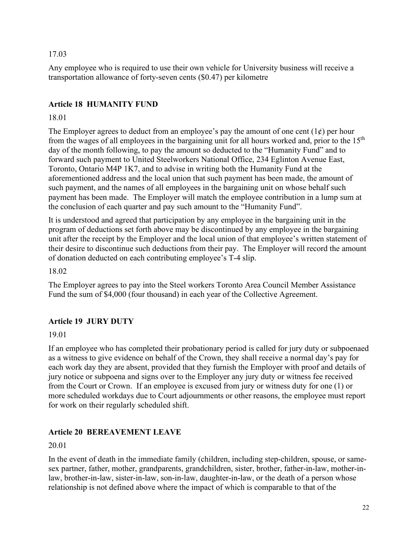#### 17.03

Any employee who is required to use their own vehicle for University business will receive a transportation allowance of forty-seven cents (\$0.47) per kilometre

## **Article 18 HUMANITY FUND**

#### 18.01

The Employer agrees to deduct from an employee's pay the amount of one cent  $(1\psi)$  per hour from the wages of all employees in the bargaining unit for all hours worked and, prior to the 15<sup>th</sup> day of the month following, to pay the amount so deducted to the "Humanity Fund" and to forward such payment to United Steelworkers National Office, 234 Eglinton Avenue East, Toronto, Ontario M4P 1K7, and to advise in writing both the Humanity Fund at the aforementioned address and the local union that such payment has been made, the amount of such payment, and the names of all employees in the bargaining unit on whose behalf such payment has been made. The Employer will match the employee contribution in a lump sum at the conclusion of each quarter and pay such amount to the "Humanity Fund".

It is understood and agreed that participation by any employee in the bargaining unit in the program of deductions set forth above may be discontinued by any employee in the bargaining unit after the receipt by the Employer and the local union of that employee's written statement of their desire to discontinue such deductions from their pay. The Employer will record the amount of donation deducted on each contributing employee's T-4 slip.

18.02

The Employer agrees to pay into the Steel workers Toronto Area Council Member Assistance Fund the sum of \$4,000 (four thousand) in each year of the Collective Agreement.

## **Article 19 JURY DUTY**

19.01

If an employee who has completed their probationary period is called for jury duty or subpoenaed as a witness to give evidence on behalf of the Crown, they shall receive a normal day's pay for each work day they are absent, provided that they furnish the Employer with proof and details of jury notice or subpoena and signs over to the Employer any jury duty or witness fee received from the Court or Crown. If an employee is excused from jury or witness duty for one (1) or more scheduled workdays due to Court adjournments or other reasons, the employee must report for work on their regularly scheduled shift.

## **Article 20 BEREAVEMENT LEAVE**

#### 20.01

In the event of death in the immediate family (children, including step-children, spouse, or samesex partner, father, mother, grandparents, grandchildren, sister, brother, father-in-law, mother-inlaw, brother-in-law, sister-in-law, son-in-law, daughter-in-law, or the death of a person whose relationship is not defined above where the impact of which is comparable to that of the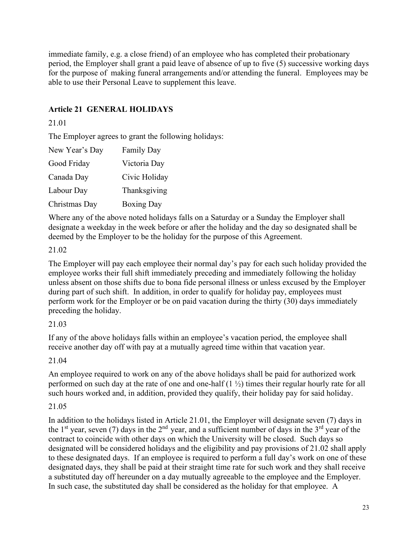immediate family, e.g. a close friend) of an employee who has completed their probationary period, the Employer shall grant a paid leave of absence of up to five (5) successive working days for the purpose of making funeral arrangements and/or attending the funeral. Employees may be able to use their Personal Leave to supplement this leave.

## **Article 21 GENERAL HOLIDAYS**

#### 21.01

The Employer agrees to grant the following holidays:

| New Year's Day | <b>Family Day</b> |
|----------------|-------------------|
| Good Friday    | Victoria Day      |
| Canada Day     | Civic Holiday     |
| Labour Day     | Thanksgiving      |
| Christmas Day  | <b>Boxing Day</b> |

Where any of the above noted holidays falls on a Saturday or a Sunday the Employer shall designate a weekday in the week before or after the holiday and the day so designated shall be deemed by the Employer to be the holiday for the purpose of this Agreement.

#### 21.02

The Employer will pay each employee their normal day's pay for each such holiday provided the employee works their full shift immediately preceding and immediately following the holiday unless absent on those shifts due to bona fide personal illness or unless excused by the Employer during part of such shift. In addition, in order to qualify for holiday pay, employees must perform work for the Employer or be on paid vacation during the thirty (30) days immediately preceding the holiday.

#### 21.03

If any of the above holidays falls within an employee's vacation period, the employee shall receive another day off with pay at a mutually agreed time within that vacation year.

21.04

An employee required to work on any of the above holidays shall be paid for authorized work performed on such day at the rate of one and one-half (1 ½) times their regular hourly rate for all such hours worked and, in addition, provided they qualify, their holiday pay for said holiday.

## 21.05

In addition to the holidays listed in Article 21.01, the Employer will designate seven (7) days in the 1<sup>st</sup> year, seven (7) days in the 2<sup>nd</sup> year, and a sufficient number of days in the 3<sup>rd</sup> year of the contract to coincide with other days on which the University will be closed. Such days so designated will be considered holidays and the eligibility and pay provisions of 21.02 shall apply to these designated days. If an employee is required to perform a full day's work on one of these designated days, they shall be paid at their straight time rate for such work and they shall receive a substituted day off hereunder on a day mutually agreeable to the employee and the Employer. In such case, the substituted day shall be considered as the holiday for that employee. A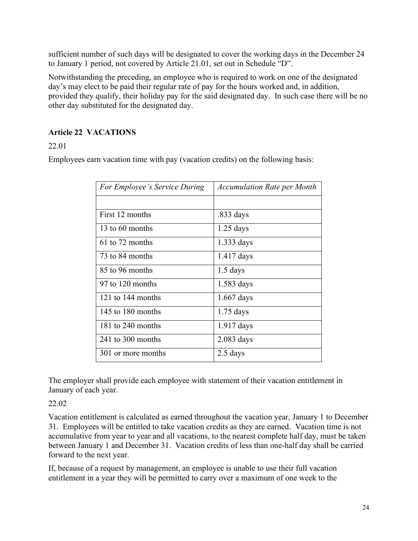sufficient number of such days will be designated to cover the working days in the December 24 to January 1 period, not covered by Article 21.01, set out in Schedule "D".

Notwithstanding the preceding, an employee who is required to work on one of the designated day's may elect to be paid their regular rate of pay for the hours worked and, in addition, provided they qualify, their holiday pay for the said designated day. In such case there will be no other day substituted for the designated day.

## **Article 22 VACATIONS**

22.01

Employees earn vacation time with pay (vacation credits) on the following basis:

| For Employee's Service During | <b>Accumulation Rate per Month</b> |
|-------------------------------|------------------------------------|
|                               |                                    |
| First 12 months               | .833 days                          |
| 13 to $60$ months             | $1.25$ days                        |
| $61$ to 72 months             | 1.333 days                         |
| 73 to 84 months               | $1.417$ days                       |
| 85 to 96 months               | $1.5$ days                         |
| 97 to 120 months              | $1.583$ days                       |
| 121 to 144 months             | $1.667$ days                       |
| 145 to 180 months             | $1.75$ days                        |
| $181$ to 240 months           | $1.917$ days                       |
| $241$ to 300 months           | $2.083$ days                       |
| 301 or more months            | $2.5$ days                         |

The employer shall provide each employee with statement of their vacation entitlement in January of each year.

#### 22.02

Vacation entitlement is calculated as earned throughout the vacation year, January 1 to December 31. Employees will be entitled to take vacation credits as they are earned. Vacation time is not accumulative from year to year and all vacations, to the nearest complete half day, must be taken between January 1 and December 31. Vacation credits of less than one-half day shall be carried forward to the next year.

If, because of a request by management, an employee is unable to use their full vacation entitlement in a year they will be permitted to carry over a maximum of one week to the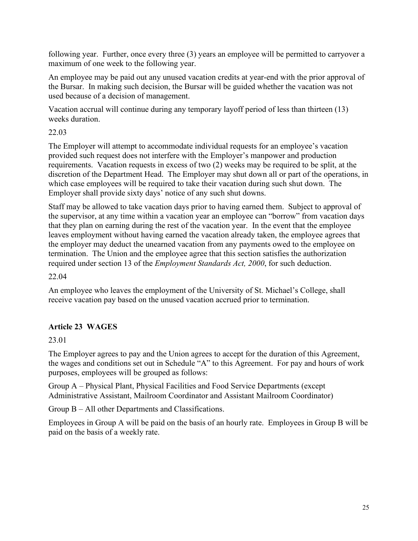following year. Further, once every three (3) years an employee will be permitted to carryover a maximum of one week to the following year.

An employee may be paid out any unused vacation credits at year-end with the prior approval of the Bursar. In making such decision, the Bursar will be guided whether the vacation was not used because of a decision of management.

Vacation accrual will continue during any temporary layoff period of less than thirteen (13) weeks duration.

22.03

The Employer will attempt to accommodate individual requests for an employee's vacation provided such request does not interfere with the Employer's manpower and production requirements. Vacation requests in excess of two (2) weeks may be required to be split, at the discretion of the Department Head. The Employer may shut down all or part of the operations, in which case employees will be required to take their vacation during such shut down. The Employer shall provide sixty days' notice of any such shut downs.

Staff may be allowed to take vacation days prior to having earned them. Subject to approval of the supervisor, at any time within a vacation year an employee can "borrow" from vacation days that they plan on earning during the rest of the vacation year. In the event that the employee leaves employment without having earned the vacation already taken, the employee agrees that the employer may deduct the unearned vacation from any payments owed to the employee on termination. The Union and the employee agree that this section satisfies the authorization required under section 13 of the *Employment Standards Act, 2000*, for such deduction.

22.04

An employee who leaves the employment of the University of St. Michael's College, shall receive vacation pay based on the unused vacation accrued prior to termination.

## **Article 23 WAGES**

23.01

The Employer agrees to pay and the Union agrees to accept for the duration of this Agreement, the wages and conditions set out in Schedule "A" to this Agreement. For pay and hours of work purposes, employees will be grouped as follows:

Group A – Physical Plant, Physical Facilities and Food Service Departments (except Administrative Assistant, Mailroom Coordinator and Assistant Mailroom Coordinator)

Group B – All other Departments and Classifications.

Employees in Group A will be paid on the basis of an hourly rate. Employees in Group B will be paid on the basis of a weekly rate.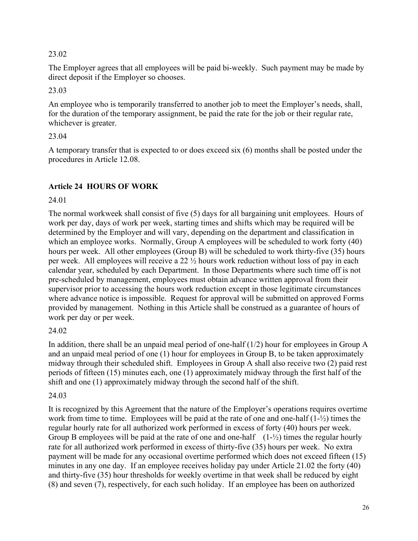#### 23.02

The Employer agrees that all employees will be paid bi-weekly. Such payment may be made by direct deposit if the Employer so chooses.

23.03

An employee who is temporarily transferred to another job to meet the Employer's needs, shall, for the duration of the temporary assignment, be paid the rate for the job or their regular rate, whichever is greater.

#### 23.04

A temporary transfer that is expected to or does exceed six (6) months shall be posted under the procedures in Article 12.08.

## **Article 24 HOURS OF WORK**

#### 24.01

The normal workweek shall consist of five (5) days for all bargaining unit employees. Hours of work per day, days of work per week, starting times and shifts which may be required will be determined by the Employer and will vary, depending on the department and classification in which an employee works. Normally, Group A employees will be scheduled to work forty (40) hours per week. All other employees (Group B) will be scheduled to work thirty-five (35) hours per week. All employees will receive a 22 ½ hours work reduction without loss of pay in each calendar year, scheduled by each Department. In those Departments where such time off is not pre-scheduled by management, employees must obtain advance written approval from their supervisor prior to accessing the hours work reduction except in those legitimate circumstances where advance notice is impossible. Request for approval will be submitted on approved Forms provided by management. Nothing in this Article shall be construed as a guarantee of hours of work per day or per week.

## 24.02

In addition, there shall be an unpaid meal period of one-half  $(1/2)$  hour for employees in Group A and an unpaid meal period of one (1) hour for employees in Group B, to be taken approximately midway through their scheduled shift. Employees in Group A shall also receive two (2) paid rest periods of fifteen (15) minutes each, one (1) approximately midway through the first half of the shift and one (1) approximately midway through the second half of the shift.

## 24.03

It is recognized by this Agreement that the nature of the Employer's operations requires overtime work from time to time. Employees will be paid at the rate of one and one-half (1-½) times the regular hourly rate for all authorized work performed in excess of forty (40) hours per week. Group B employees will be paid at the rate of one and one-half  $(1-\frac{1}{2})$  times the regular hourly rate for all authorized work performed in excess of thirty-five (35) hours per week. No extra payment will be made for any occasional overtime performed which does not exceed fifteen (15) minutes in any one day. If an employee receives holiday pay under Article 21.02 the forty (40) and thirty-five (35) hour thresholds for weekly overtime in that week shall be reduced by eight (8) and seven (7), respectively, for each such holiday. If an employee has been on authorized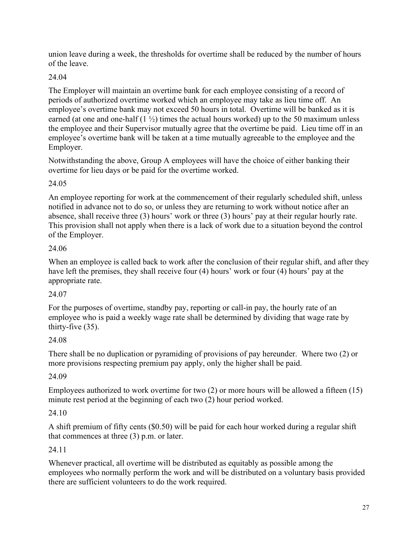union leave during a week, the thresholds for overtime shall be reduced by the number of hours of the leave.

## 24.04

The Employer will maintain an overtime bank for each employee consisting of a record of periods of authorized overtime worked which an employee may take as lieu time off. An employee's overtime bank may not exceed 50 hours in total. Overtime will be banked as it is earned (at one and one-half  $(1 \frac{1}{2})$  times the actual hours worked) up to the 50 maximum unless the employee and their Supervisor mutually agree that the overtime be paid. Lieu time off in an employee's overtime bank will be taken at a time mutually agreeable to the employee and the Employer.

Notwithstanding the above, Group A employees will have the choice of either banking their overtime for lieu days or be paid for the overtime worked.

## 24.05

An employee reporting for work at the commencement of their regularly scheduled shift, unless notified in advance not to do so, or unless they are returning to work without notice after an absence, shall receive three (3) hours' work or three (3) hours' pay at their regular hourly rate. This provision shall not apply when there is a lack of work due to a situation beyond the control of the Employer.

## 24.06

When an employee is called back to work after the conclusion of their regular shift, and after they have left the premises, they shall receive four (4) hours' work or four (4) hours' pay at the appropriate rate.

## 24.07

For the purposes of overtime, standby pay, reporting or call-in pay, the hourly rate of an employee who is paid a weekly wage rate shall be determined by dividing that wage rate by thirty-five (35).

## 24.08

There shall be no duplication or pyramiding of provisions of pay hereunder. Where two (2) or more provisions respecting premium pay apply, only the higher shall be paid.

## 24.09

Employees authorized to work overtime for two (2) or more hours will be allowed a fifteen (15) minute rest period at the beginning of each two (2) hour period worked.

## 24.10

A shift premium of fifty cents (\$0.50) will be paid for each hour worked during a regular shift that commences at three (3) p.m. or later.

## 24.11

Whenever practical, all overtime will be distributed as equitably as possible among the employees who normally perform the work and will be distributed on a voluntary basis provided there are sufficient volunteers to do the work required.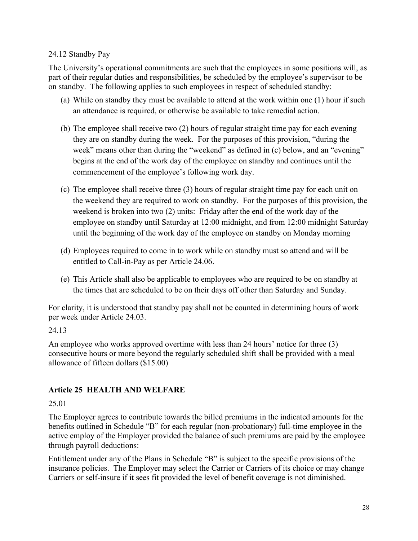#### 24.12 Standby Pay

The University's operational commitments are such that the employees in some positions will, as part of their regular duties and responsibilities, be scheduled by the employee's supervisor to be on standby. The following applies to such employees in respect of scheduled standby:

- (a) While on standby they must be available to attend at the work within one (1) hour if such an attendance is required, or otherwise be available to take remedial action.
- (b) The employee shall receive two (2) hours of regular straight time pay for each evening they are on standby during the week. For the purposes of this provision, "during the week" means other than during the "weekend" as defined in (c) below, and an "evening" begins at the end of the work day of the employee on standby and continues until the commencement of the employee's following work day.
- (c) The employee shall receive three (3) hours of regular straight time pay for each unit on the weekend they are required to work on standby. For the purposes of this provision, the weekend is broken into two (2) units: Friday after the end of the work day of the employee on standby until Saturday at 12:00 midnight, and from 12:00 midnight Saturday until the beginning of the work day of the employee on standby on Monday morning
- (d) Employees required to come in to work while on standby must so attend and will be entitled to Call-in-Pay as per Article 24.06.
- (e) This Article shall also be applicable to employees who are required to be on standby at the times that are scheduled to be on their days off other than Saturday and Sunday.

For clarity, it is understood that standby pay shall not be counted in determining hours of work per week under Article 24.03.

#### 24.13

An employee who works approved overtime with less than 24 hours' notice for three (3) consecutive hours or more beyond the regularly scheduled shift shall be provided with a meal allowance of fifteen dollars (\$15.00)

## **Article 25 HEALTH AND WELFARE**

## 25.01

The Employer agrees to contribute towards the billed premiums in the indicated amounts for the benefits outlined in Schedule "B" for each regular (non-probationary) full-time employee in the active employ of the Employer provided the balance of such premiums are paid by the employee through payroll deductions:

Entitlement under any of the Plans in Schedule "B" is subject to the specific provisions of the insurance policies. The Employer may select the Carrier or Carriers of its choice or may change Carriers or self-insure if it sees fit provided the level of benefit coverage is not diminished.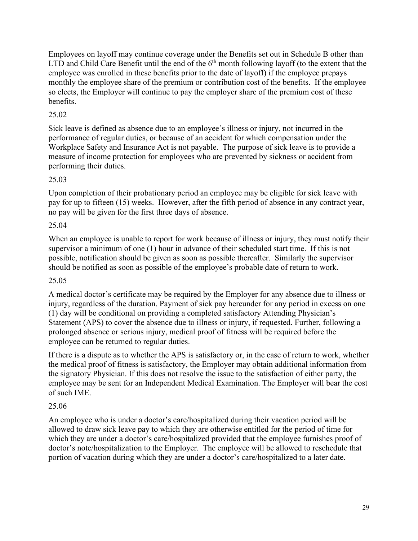Employees on layoff may continue coverage under the Benefits set out in Schedule B other than LTD and Child Care Benefit until the end of the  $6<sup>th</sup>$  month following layoff (to the extent that the employee was enrolled in these benefits prior to the date of layoff) if the employee prepays monthly the employee share of the premium or contribution cost of the benefits. If the employee so elects, the Employer will continue to pay the employer share of the premium cost of these benefits.

## 25.02

Sick leave is defined as absence due to an employee's illness or injury, not incurred in the performance of regular duties, or because of an accident for which compensation under the Workplace Safety and Insurance Act is not payable. The purpose of sick leave is to provide a measure of income protection for employees who are prevented by sickness or accident from performing their duties.

## 25.03

Upon completion of their probationary period an employee may be eligible for sick leave with pay for up to fifteen (15) weeks. However, after the fifth period of absence in any contract year, no pay will be given for the first three days of absence.

#### 25.04

When an employee is unable to report for work because of illness or injury, they must notify their supervisor a minimum of one (1) hour in advance of their scheduled start time. If this is not possible, notification should be given as soon as possible thereafter. Similarly the supervisor should be notified as soon as possible of the employee's probable date of return to work.

#### 25.05

A medical doctor's certificate may be required by the Employer for any absence due to illness or injury, regardless of the duration. Payment of sick pay hereunder for any period in excess on one (1) day will be conditional on providing a completed satisfactory Attending Physician's Statement (APS) to cover the absence due to illness or injury, if requested. Further, following a prolonged absence or serious injury, medical proof of fitness will be required before the employee can be returned to regular duties.

If there is a dispute as to whether the APS is satisfactory or, in the case of return to work, whether the medical proof of fitness is satisfactory, the Employer may obtain additional information from the signatory Physician. If this does not resolve the issue to the satisfaction of either party, the employee may be sent for an Independent Medical Examination. The Employer will bear the cost of such IME.

## 25.06

An employee who is under a doctor's care/hospitalized during their vacation period will be allowed to draw sick leave pay to which they are otherwise entitled for the period of time for which they are under a doctor's care/hospitalized provided that the employee furnishes proof of doctor's note/hospitalization to the Employer. The employee will be allowed to reschedule that portion of vacation during which they are under a doctor's care/hospitalized to a later date.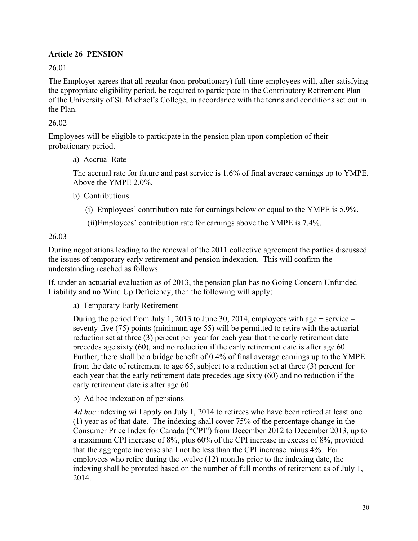#### **Article 26 PENSION**

26.01

The Employer agrees that all regular (non-probationary) full-time employees will, after satisfying the appropriate eligibility period, be required to participate in the Contributory Retirement Plan of the University of St. Michael's College, in accordance with the terms and conditions set out in the Plan.

#### 26.02

Employees will be eligible to participate in the pension plan upon completion of their probationary period.

a) Accrual Rate

The accrual rate for future and past service is 1.6% of final average earnings up to YMPE. Above the YMPE 2.0%.

- b) Contributions
	- (i) Employees' contribution rate for earnings below or equal to the YMPE is 5.9%.

(ii)Employees' contribution rate for earnings above the YMPE is 7.4%.

26.03

During negotiations leading to the renewal of the 2011 collective agreement the parties discussed the issues of temporary early retirement and pension indexation. This will confirm the understanding reached as follows.

If, under an actuarial evaluation as of 2013, the pension plan has no Going Concern Unfunded Liability and no Wind Up Deficiency, then the following will apply;

a) Temporary Early Retirement

During the period from July 1, 2013 to June 30, 2014, employees with age  $+$  service  $=$ seventy-five (75) points (minimum age 55) will be permitted to retire with the actuarial reduction set at three (3) percent per year for each year that the early retirement date precedes age sixty (60), and no reduction if the early retirement date is after age 60. Further, there shall be a bridge benefit of 0.4% of final average earnings up to the YMPE from the date of retirement to age 65, subject to a reduction set at three (3) percent for each year that the early retirement date precedes age sixty (60) and no reduction if the early retirement date is after age 60.

b) Ad hoc indexation of pensions

*Ad hoc* indexing will apply on July 1, 2014 to retirees who have been retired at least one (1) year as of that date. The indexing shall cover 75% of the percentage change in the Consumer Price Index for Canada ("CPI") from December 2012 to December 2013, up to a maximum CPI increase of 8%, plus 60% of the CPI increase in excess of 8%, provided that the aggregate increase shall not be less than the CPI increase minus 4%. For employees who retire during the twelve (12) months prior to the indexing date, the indexing shall be prorated based on the number of full months of retirement as of July 1, 2014.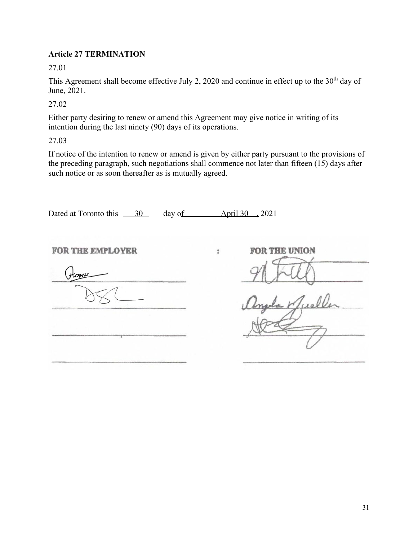#### **Article 27 TERMINATION**

27.01

This Agreement shall become effective July 2, 2020 and continue in effect up to the 30<sup>th</sup> day of June, 2021.

27.02

Either party desiring to renew or amend this Agreement may give notice in writing of its intention during the last ninety (90) days of its operations.

27.03

If notice of the intention to renew or amend is given by either party pursuant to the provisions of the preceding paragraph, such negotiations shall commence not later than fifteen  $(15)$  days after such notice or as soon thereafter as is mutually agreed.

| Dated at Toronto this 30         | day of $\overline{\text{April 30}}$ , 2021 |
|----------------------------------|--------------------------------------------|
| <b>FOR THE EMPLOYER</b><br>tanic | FOR THE UNION<br>Н                         |
|                                  |                                            |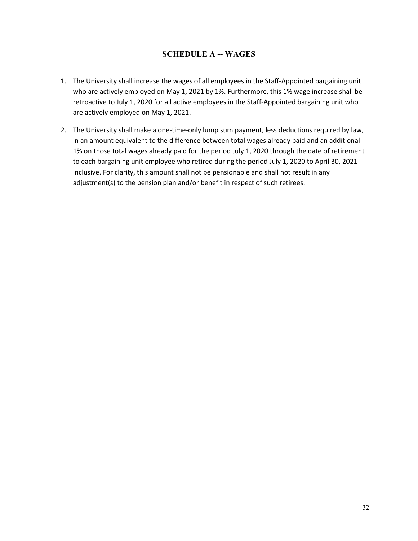#### **SCHEDULE A -- WAGES**

- 1. The University shall increase the wages of all employees in the Staff-Appointed bargaining unit who are actively employed on May 1, 2021 by 1%. Furthermore, this 1% wage increase shall be retroactive to July 1, 2020 for all active employees in the Staff-Appointed bargaining unit who are actively employed on May 1, 2021.
- 2. The University shall make a one-time-only lump sum payment, less deductions required by law, in an amount equivalent to the difference between total wages already paid and an additional 1% on those total wages already paid for the period July 1, 2020 through the date of retirement to each bargaining unit employee who retired during the period July 1, 2020 to April 30, 2021 inclusive. For clarity, this amount shall not be pensionable and shall not result in any adjustment(s) to the pension plan and/or benefit in respect of such retirees.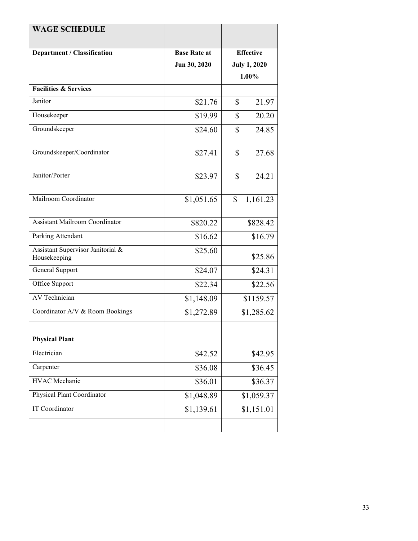| <b>WAGE SCHEDULE</b>                              |                     |                       |
|---------------------------------------------------|---------------------|-----------------------|
| Department / Classification                       | <b>Base Rate at</b> | <b>Effective</b>      |
|                                                   | Jun 30, 2020        | <b>July 1, 2020</b>   |
|                                                   |                     | 1.00%                 |
| <b>Facilities &amp; Services</b>                  |                     |                       |
| Janitor                                           | \$21.76             | $\mathbb{S}$<br>21.97 |
| Housekeeper                                       | \$19.99             | \$<br>20.20           |
| Groundskeeper                                     | \$24.60             | \$<br>24.85           |
| Groundskeeper/Coordinator                         | \$27.41             | \$<br>27.68           |
| Janitor/Porter                                    | \$23.97             | $\mathbb{S}$<br>24.21 |
| Mailroom Coordinator                              | \$1,051.65          | 1,161.23<br>\$        |
| <b>Assistant Mailroom Coordinator</b>             | \$820.22            | \$828.42              |
| Parking Attendant                                 | \$16.62             | \$16.79               |
| Assistant Supervisor Janitorial &<br>Housekeeping | \$25.60             | \$25.86               |
| General Support                                   | \$24.07             | \$24.31               |
| Office Support                                    | \$22.34             | \$22.56               |
| <b>AV Technician</b>                              | \$1,148.09          | \$1159.57             |
| Coordinator A/V & Room Bookings                   | \$1,272.89          | \$1,285.62            |
|                                                   |                     |                       |
| <b>Physical Plant</b>                             |                     |                       |
| Electrician                                       | \$42.52             | \$42.95               |
| Carpenter                                         | \$36.08             | \$36.45               |
| <b>HVAC</b> Mechanic                              | \$36.01             | \$36.37               |
| Physical Plant Coordinator                        | \$1,048.89          | \$1,059.37            |
| <b>IT Coordinator</b>                             | \$1,139.61          | \$1,151.01            |
|                                                   |                     |                       |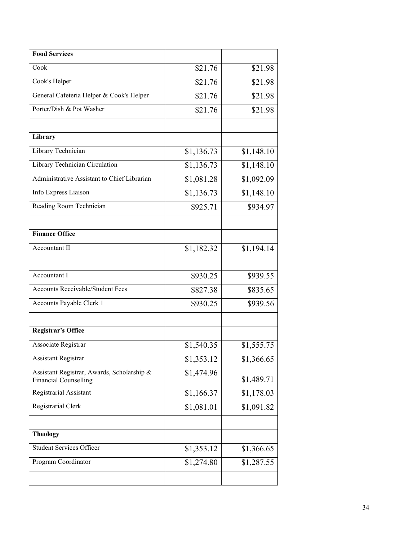| <b>Food Services</b>                                                       |            |            |
|----------------------------------------------------------------------------|------------|------------|
| Cook                                                                       | \$21.76    | \$21.98    |
| Cook's Helper                                                              | \$21.76    | \$21.98    |
| General Cafeteria Helper & Cook's Helper                                   | \$21.76    | \$21.98    |
| Porter/Dish & Pot Washer                                                   | \$21.76    | \$21.98    |
|                                                                            |            |            |
| Library                                                                    |            |            |
| Library Technician                                                         | \$1,136.73 | \$1,148.10 |
| Library Technician Circulation                                             | \$1,136.73 | \$1,148.10 |
| Administrative Assistant to Chief Librarian                                | \$1,081.28 | \$1,092.09 |
| Info Express Liaison                                                       | \$1,136.73 | \$1,148.10 |
| Reading Room Technician                                                    | \$925.71   | \$934.97   |
|                                                                            |            |            |
| <b>Finance Office</b>                                                      |            |            |
| Accountant II                                                              | \$1,182.32 | \$1,194.14 |
|                                                                            |            |            |
| Accountant I                                                               | \$930.25   | \$939.55   |
| <b>Accounts Receivable/Student Fees</b>                                    | \$827.38   | \$835.65   |
| Accounts Payable Clerk 1                                                   | \$930.25   | \$939.56   |
|                                                                            |            |            |
| <b>Registrar's Office</b>                                                  |            |            |
| Associate Registrar                                                        | \$1,540.35 | \$1,555.75 |
| <b>Assistant Registrar</b>                                                 | \$1,353.12 | \$1,366.65 |
| Assistant Registrar, Awards, Scholarship &<br><b>Financial Counselling</b> | \$1,474.96 | \$1,489.71 |
| Registrarial Assistant                                                     | \$1,166.37 | \$1,178.03 |
| Registrarial Clerk                                                         | \$1,081.01 | \$1,091.82 |
|                                                                            |            |            |
| <b>Theology</b>                                                            |            |            |
| <b>Student Services Officer</b>                                            | \$1,353.12 | \$1,366.65 |
| Program Coordinator                                                        | \$1,274.80 | \$1,287.55 |
|                                                                            |            |            |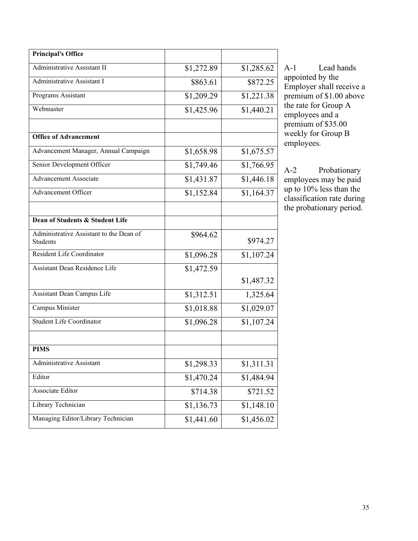| <b>Principal's Office</b>                           |            |            |
|-----------------------------------------------------|------------|------------|
| Administrative Assistant II                         | \$1,272.89 | \$1,285.62 |
| <b>Administrative Assistant I</b>                   | \$863.61   | \$872.25   |
| Programs Assistant                                  | \$1,209.29 | \$1,221.38 |
| Webmaster                                           | \$1,425.96 | \$1,440.21 |
|                                                     |            |            |
| <b>Office of Advancement</b>                        |            |            |
| Advancement Manager, Annual Campaign                | \$1,658.98 | \$1,675.57 |
| Senior Development Officer                          | \$1,749.46 | \$1,766.95 |
| <b>Advancement Associate</b>                        | \$1,431.87 | \$1,446.18 |
| <b>Advancement Officer</b>                          | \$1,152.84 | \$1,164.37 |
|                                                     |            |            |
| Dean of Students & Student Life                     |            |            |
| Administrative Assistant to the Dean of<br>Students | \$964.62   | \$974.27   |
| Resident Life Coordinator                           | \$1,096.28 | \$1,107.24 |
| Assistant Dean Residence Life                       | \$1,472.59 |            |
|                                                     |            | \$1,487.32 |
| Assistant Dean Campus Life                          | \$1,312.51 | 1,325.64   |
| Campus Minister                                     | \$1,018.88 | \$1,029.07 |
| <b>Student Life Coordinator</b>                     | \$1,096.28 | \$1,107.24 |
|                                                     |            |            |
| <b>PIMS</b>                                         |            |            |
| Administrative Assistant                            | \$1,298.33 | \$1,311.31 |
| Editor                                              | \$1,470.24 | \$1,484.94 |
| Associate Editor                                    | \$714.38   | \$721.52   |
| Library Technician                                  | \$1,136.73 | \$1,148.10 |
| Managing Editor/Library Technician                  | \$1,441.60 | \$1,456.02 |

A-1 Lead hands appointed by the Employer shall receive a premium of \$1.00 above the rate for Group A employees and a premium of \$35.00 weekly for Group B employees.

A-2 Probationary employees may be paid up to 10% less than the classification rate during the probationary period.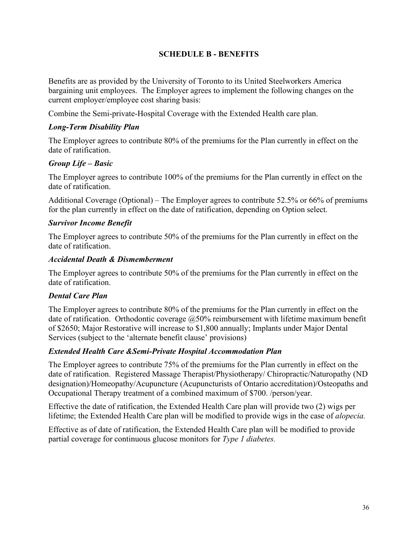#### **SCHEDULE B - BENEFITS**

Benefits are as provided by the University of Toronto to its United Steelworkers America bargaining unit employees. The Employer agrees to implement the following changes on the current employer/employee cost sharing basis:

Combine the Semi-private-Hospital Coverage with the Extended Health care plan.

#### *Long-Term Disability Plan*

The Employer agrees to contribute 80% of the premiums for the Plan currently in effect on the date of ratification.

#### *Group Life – Basic*

The Employer agrees to contribute 100% of the premiums for the Plan currently in effect on the date of ratification.

Additional Coverage (Optional) – The Employer agrees to contribute 52.5% or 66% of premiums for the plan currently in effect on the date of ratification, depending on Option select.

#### *Survivor Income Benefit*

The Employer agrees to contribute 50% of the premiums for the Plan currently in effect on the date of ratification.

#### *Accidental Death & Dismemberment*

The Employer agrees to contribute 50% of the premiums for the Plan currently in effect on the date of ratification.

#### *Dental Care Plan*

The Employer agrees to contribute 80% of the premiums for the Plan currently in effect on the date of ratification. Orthodontic coverage  $@50\%$  reimbursement with lifetime maximum benefit of \$2650; Major Restorative will increase to \$1,800 annually; Implants under Major Dental Services (subject to the 'alternate benefit clause' provisions)

#### *Extended Health Care &Semi-Private Hospital Accommodation Plan*

The Employer agrees to contribute 75% of the premiums for the Plan currently in effect on the date of ratification. Registered Massage Therapist/Physiotherapy/ Chiropractic/Naturopathy (ND designation)/Homeopathy/Acupuncture (Acupuncturists of Ontario accreditation)/Osteopaths and Occupational Therapy treatment of a combined maximum of \$700. /person/year.

Effective the date of ratification, the Extended Health Care plan will provide two (2) wigs per lifetime; the Extended Health Care plan will be modified to provide wigs in the case of *alopecia.*

Effective as of date of ratification, the Extended Health Care plan will be modified to provide partial coverage for continuous glucose monitors for *Type 1 diabetes.*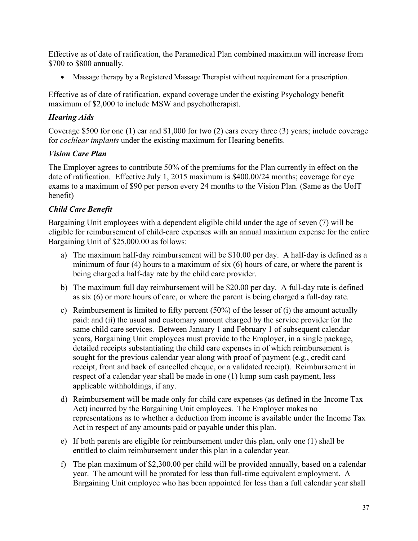Effective as of date of ratification, the Paramedical Plan combined maximum will increase from \$700 to \$800 annually.

• Massage therapy by a Registered Massage Therapist without requirement for a prescription.

Effective as of date of ratification, expand coverage under the existing Psychology benefit maximum of \$2,000 to include MSW and psychotherapist.

## *Hearing Aids*

Coverage \$500 for one (1) ear and \$1,000 for two (2) ears every three (3) years; include coverage for *cochlear implants* under the existing maximum for Hearing benefits.

## *Vision Care Plan*

The Employer agrees to contribute 50% of the premiums for the Plan currently in effect on the date of ratification. Effective July 1, 2015 maximum is \$400.00/24 months; coverage for eye exams to a maximum of \$90 per person every 24 months to the Vision Plan. (Same as the UofT benefit)

## *Child Care Benefit*

Bargaining Unit employees with a dependent eligible child under the age of seven (7) will be eligible for reimbursement of child-care expenses with an annual maximum expense for the entire Bargaining Unit of \$25,000.00 as follows:

- a) The maximum half-day reimbursement will be \$10.00 per day. A half-day is defined as a minimum of four (4) hours to a maximum of six (6) hours of care, or where the parent is being charged a half-day rate by the child care provider.
- b) The maximum full day reimbursement will be \$20.00 per day. A full-day rate is defined as six (6) or more hours of care, or where the parent is being charged a full-day rate.
- c) Reimbursement is limited to fifty percent (50%) of the lesser of (i) the amount actually paid: and (ii) the usual and customary amount charged by the service provider for the same child care services. Between January 1 and February 1 of subsequent calendar years, Bargaining Unit employees must provide to the Employer, in a single package, detailed receipts substantiating the child care expenses in of which reimbursement is sought for the previous calendar year along with proof of payment (e.g., credit card receipt, front and back of cancelled cheque, or a validated receipt). Reimbursement in respect of a calendar year shall be made in one (1) lump sum cash payment, less applicable withholdings, if any.
- d) Reimbursement will be made only for child care expenses (as defined in the Income Tax Act) incurred by the Bargaining Unit employees. The Employer makes no representations as to whether a deduction from income is available under the Income Tax Act in respect of any amounts paid or payable under this plan.
- e) If both parents are eligible for reimbursement under this plan, only one (1) shall be entitled to claim reimbursement under this plan in a calendar year.
- f) The plan maximum of \$2,300.00 per child will be provided annually, based on a calendar year. The amount will be prorated for less than full-time equivalent employment. A Bargaining Unit employee who has been appointed for less than a full calendar year shall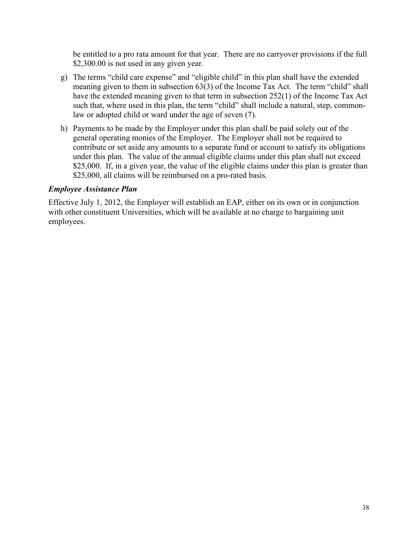be entitled to a pro rata amount for that year. There are no carryover provisions if the full \$2,300.00 is not used in any given year.

- g) The terms "child care expense" and "eligible child" in this plan shall have the extended meaning given to them in subsection 63(3) of the Income Tax Act. The term "child" shall have the extended meaning given to that term in subsection 252(1) of the Income Tax Act such that, where used in this plan, the term "child" shall include a natural, step, commonlaw or adopted child or ward under the age of seven (7).
- h) Payments to be made by the Employer under this plan shall be paid solely out of the general operating monies of the Employer. The Employer shall not be required to contribute or set aside any amounts to a separate fund or account to satisfy its obligations under this plan. The value of the annual eligible claims under this plan shall not exceed \$25,000. If, in a given year, the value of the eligible claims under this plan is greater than \$25,000, all claims will be reimbursed on a pro-rated basis.

#### *Employee Assistance Plan*

Effective July 1, 2012, the Employer will establish an EAP, either on its own or in conjunction with other constituent Universities, which will be available at no charge to bargaining unit employees.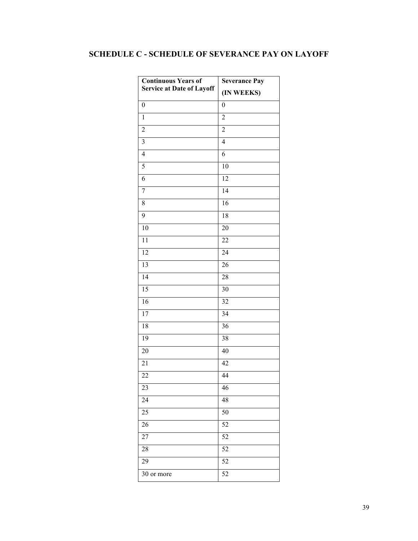## **SCHEDULE C - SCHEDULE OF SEVERANCE PAY ON LAYOFF**

| <b>Continuous Years of</b>       | <b>Severance Pay</b>    |  |
|----------------------------------|-------------------------|--|
| <b>Service at Date of Layoff</b> | (IN WEEKS)              |  |
| $\boldsymbol{0}$                 | $\boldsymbol{0}$        |  |
| $\mathbf{1}$                     | $\overline{c}$          |  |
| $\boldsymbol{2}$                 | $\overline{c}$          |  |
| 3                                | $\overline{\mathbf{4}}$ |  |
| $\overline{\mathbf{4}}$          | 6                       |  |
| 5                                | $10\,$                  |  |
| 6                                | 12                      |  |
| 7                                | 14                      |  |
| $8\,$                            | 16                      |  |
| 9                                | 18                      |  |
| 10                               | 20                      |  |
| 11                               | $22\,$                  |  |
| 12                               | 24                      |  |
| 13                               | 26                      |  |
| 14                               | $28\,$                  |  |
| 15                               | 30                      |  |
| 16                               | 32                      |  |
| 17                               | 34                      |  |
| 18                               | 36                      |  |
| 19                               | 38                      |  |
| 20                               | 40                      |  |
| 21                               | 42                      |  |
| 22                               | 44                      |  |
| 23                               | 46                      |  |
| 24                               | 48                      |  |
| 25                               | 50                      |  |
| 26                               | 52                      |  |
| 27                               | 52                      |  |
| 28                               | 52                      |  |
| 29                               | 52                      |  |
| 30 or more                       | 52                      |  |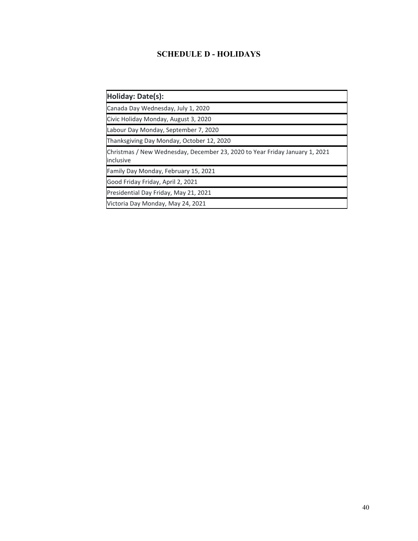## **SCHEDULE D - HOLIDAYS**

| Holiday: Date(s):                                                                        |
|------------------------------------------------------------------------------------------|
| Canada Day Wednesday, July 1, 2020                                                       |
| Civic Holiday Monday, August 3, 2020                                                     |
| Labour Day Monday, September 7, 2020                                                     |
| Thanksgiving Day Monday, October 12, 2020                                                |
| Christmas / New Wednesday, December 23, 2020 to Year Friday January 1, 2021<br>inclusive |
| Family Day Monday, February 15, 2021                                                     |
| Good Friday Friday, April 2, 2021                                                        |
| Presidential Day Friday, May 21, 2021                                                    |
| Victoria Day Monday, May 24, 2021                                                        |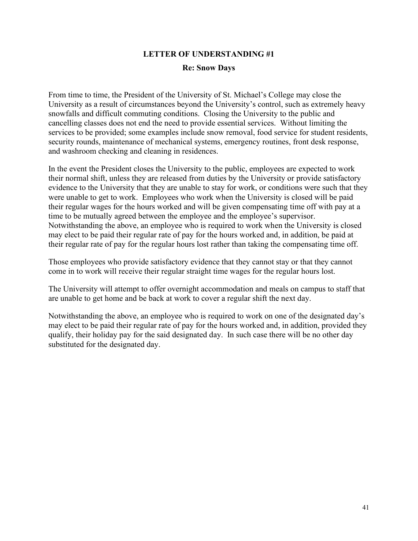# **LETTER OF UNDERSTANDING #1 Re: Snow Days**

From time to time, the President of the University of St. Michael's College may close the University as a result of circumstances beyond the University's control, such as extremely heavy snowfalls and difficult commuting conditions. Closing the University to the public and cancelling classes does not end the need to provide essential services. Without limiting the services to be provided; some examples include snow removal, food service for student residents, security rounds, maintenance of mechanical systems, emergency routines, front desk response, and washroom checking and cleaning in residences.

In the event the President closes the University to the public, employees are expected to work their normal shift, unless they are released from duties by the University or provide satisfactory evidence to the University that they are unable to stay for work, or conditions were such that they were unable to get to work. Employees who work when the University is closed will be paid their regular wages for the hours worked and will be given compensating time off with pay at a time to be mutually agreed between the employee and the employee's supervisor. Notwithstanding the above, an employee who is required to work when the University is closed may elect to be paid their regular rate of pay for the hours worked and, in addition, be paid at their regular rate of pay for the regular hours lost rather than taking the compensating time off.

Those employees who provide satisfactory evidence that they cannot stay or that they cannot come in to work will receive their regular straight time wages for the regular hours lost.

The University will attempt to offer overnight accommodation and meals on campus to staff that are unable to get home and be back at work to cover a regular shift the next day.

Notwithstanding the above, an employee who is required to work on one of the designated day's may elect to be paid their regular rate of pay for the hours worked and, in addition, provided they qualify, their holiday pay for the said designated day. In such case there will be no other day substituted for the designated day.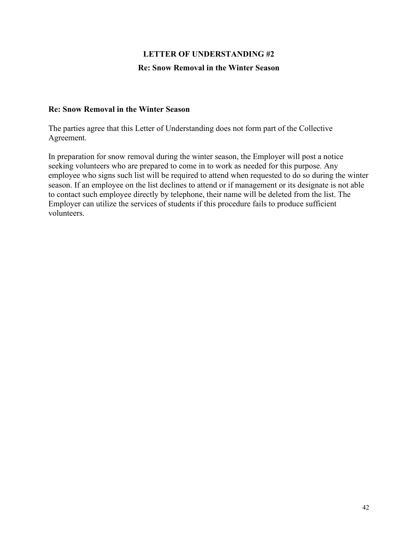# **LETTER OF UNDERSTANDING #2 Re: Snow Removal in the Winter Season**

#### **Re: Snow Removal in the Winter Season**

The parties agree that this Letter of Understanding does not form part of the Collective Agreement.

In preparation for snow removal during the winter season, the Employer will post a notice seeking volunteers who are prepared to come in to work as needed for this purpose. Any employee who signs such list will be required to attend when requested to do so during the winter season. If an employee on the list declines to attend or if management or its designate is not able to contact such employee directly by telephone, their name will be deleted from the list. The Employer can utilize the services of students if this procedure fails to produce sufficient volunteers.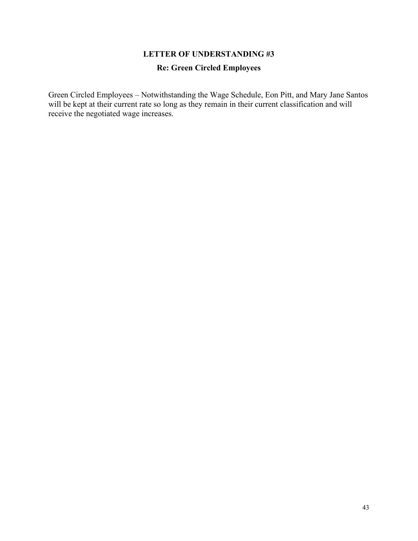# **LETTER OF UNDERSTANDING #3 Re: Green Circled Employees**

Green Circled Employees – Notwithstanding the Wage Schedule, Eon Pitt, and Mary Jane Santos will be kept at their current rate so long as they remain in their current classification and will receive the negotiated wage increases.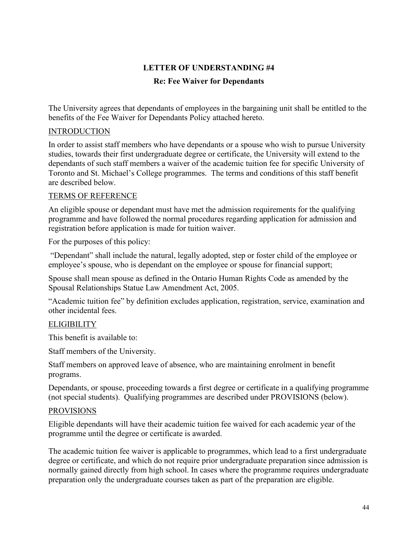#### **LETTER OF UNDERSTANDING #4**

#### **Re: Fee Waiver for Dependants**

The University agrees that dependants of employees in the bargaining unit shall be entitled to the benefits of the Fee Waiver for Dependants Policy attached hereto.

#### **INTRODUCTION**

In order to assist staff members who have dependants or a spouse who wish to pursue University studies, towards their first undergraduate degree or certificate, the University will extend to the dependants of such staff members a waiver of the academic tuition fee for specific University of Toronto and St. Michael's College programmes. The terms and conditions of this staff benefit are described below.

#### TERMS OF REFERENCE

An eligible spouse or dependant must have met the admission requirements for the qualifying programme and have followed the normal procedures regarding application for admission and registration before application is made for tuition waiver.

For the purposes of this policy:

"Dependant" shall include the natural, legally adopted, step or foster child of the employee or employee's spouse, who is dependant on the employee or spouse for financial support;

Spouse shall mean spouse as defined in the Ontario Human Rights Code as amended by the Spousal Relationships Statue Law Amendment Act, 2005.

"Academic tuition fee" by definition excludes application, registration, service, examination and other incidental fees.

#### **ELIGIBILITY**

This benefit is available to:

Staff members of the University.

Staff members on approved leave of absence, who are maintaining enrolment in benefit programs.

Dependants, or spouse, proceeding towards a first degree or certificate in a qualifying programme (not special students). Qualifying programmes are described under PROVISIONS (below).

#### PROVISIONS

Eligible dependants will have their academic tuition fee waived for each academic year of the programme until the degree or certificate is awarded.

The academic tuition fee waiver is applicable to programmes, which lead to a first undergraduate degree or certificate, and which do not require prior undergraduate preparation since admission is normally gained directly from high school. In cases where the programme requires undergraduate preparation only the undergraduate courses taken as part of the preparation are eligible.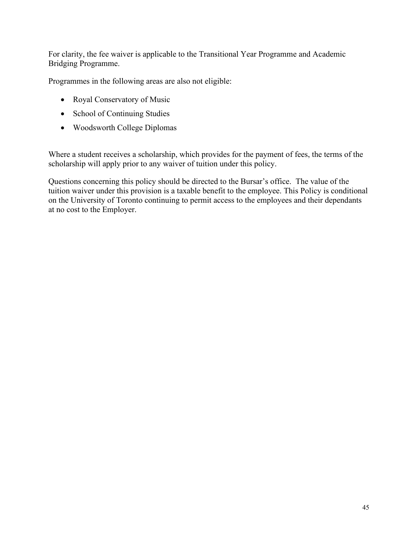For clarity, the fee waiver is applicable to the Transitional Year Programme and Academic Bridging Programme.

Programmes in the following areas are also not eligible:

- Royal Conservatory of Music
- School of Continuing Studies
- Woodsworth College Diplomas

Where a student receives a scholarship, which provides for the payment of fees, the terms of the scholarship will apply prior to any waiver of tuition under this policy.

Questions concerning this policy should be directed to the Bursar's office. The value of the tuition waiver under this provision is a taxable benefit to the employee. This Policy is conditional on the University of Toronto continuing to permit access to the employees and their dependants at no cost to the Employer.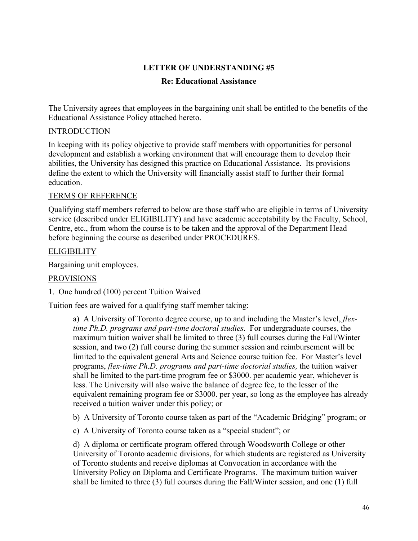#### **LETTER OF UNDERSTANDING #5**

#### **Re: Educational Assistance**

The University agrees that employees in the bargaining unit shall be entitled to the benefits of the Educational Assistance Policy attached hereto.

#### INTRODUCTION

In keeping with its policy objective to provide staff members with opportunities for personal development and establish a working environment that will encourage them to develop their abilities, the University has designed this practice on Educational Assistance. Its provisions define the extent to which the University will financially assist staff to further their formal education.

#### TERMS OF REFERENCE

Qualifying staff members referred to below are those staff who are eligible in terms of University service (described under ELIGIBILITY) and have academic acceptability by the Faculty, School, Centre, etc., from whom the course is to be taken and the approval of the Department Head before beginning the course as described under PROCEDURES.

#### **ELIGIBILITY**

Bargaining unit employees.

#### PROVISIONS

1. One hundred (100) percent Tuition Waived

Tuition fees are waived for a qualifying staff member taking:

a) A University of Toronto degree course, up to and including the Master's level, *flextime Ph.D. programs and part-time doctoral studies*. For undergraduate courses, the maximum tuition waiver shall be limited to three (3) full courses during the Fall/Winter session, and two (2) full course during the summer session and reimbursement will be limited to the equivalent general Arts and Science course tuition fee. For Master's level programs, *flex-time Ph.D. programs and part-time doctorial studies,* the tuition waiver shall be limited to the part-time program fee or \$3000. per academic year, whichever is less. The University will also waive the balance of degree fee, to the lesser of the equivalent remaining program fee or \$3000. per year, so long as the employee has already received a tuition waiver under this policy; or

b) A University of Toronto course taken as part of the "Academic Bridging" program; or

c) A University of Toronto course taken as a "special student"; or

d) A diploma or certificate program offered through Woodsworth College or other University of Toronto academic divisions, for which students are registered as University of Toronto students and receive diplomas at Convocation in accordance with the University Policy on Diploma and Certificate Programs. The maximum tuition waiver shall be limited to three (3) full courses during the Fall/Winter session, and one (1) full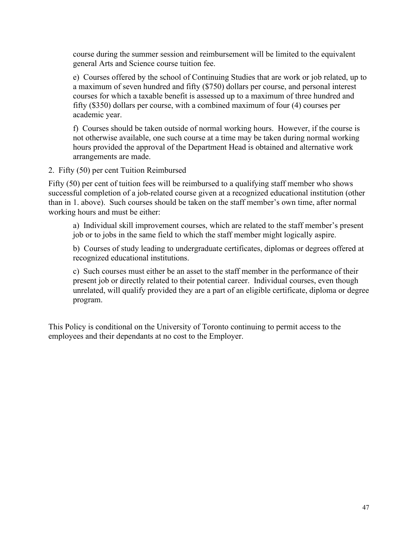course during the summer session and reimbursement will be limited to the equivalent general Arts and Science course tuition fee.

e) Courses offered by the school of Continuing Studies that are work or job related, up to a maximum of seven hundred and fifty (\$750) dollars per course, and personal interest courses for which a taxable benefit is assessed up to a maximum of three hundred and fifty (\$350) dollars per course, with a combined maximum of four (4) courses per academic year.

f) Courses should be taken outside of normal working hours. However, if the course is not otherwise available, one such course at a time may be taken during normal working hours provided the approval of the Department Head is obtained and alternative work arrangements are made.

2. Fifty (50) per cent Tuition Reimbursed

Fifty (50) per cent of tuition fees will be reimbursed to a qualifying staff member who shows successful completion of a job-related course given at a recognized educational institution (other than in 1. above). Such courses should be taken on the staff member's own time, after normal working hours and must be either:

a) Individual skill improvement courses, which are related to the staff member's present job or to jobs in the same field to which the staff member might logically aspire.

b) Courses of study leading to undergraduate certificates, diplomas or degrees offered at recognized educational institutions.

c) Such courses must either be an asset to the staff member in the performance of their present job or directly related to their potential career. Individual courses, even though unrelated, will qualify provided they are a part of an eligible certificate, diploma or degree program.

This Policy is conditional on the University of Toronto continuing to permit access to the employees and their dependants at no cost to the Employer.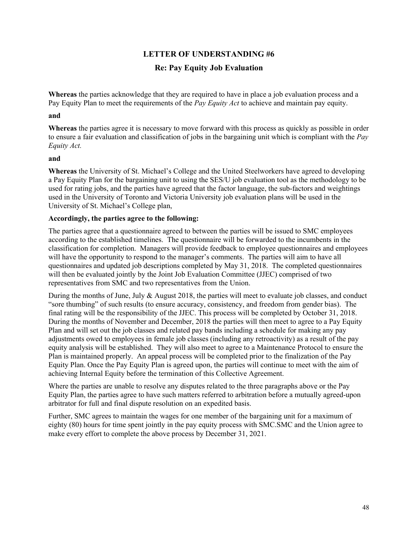## **LETTER OF UNDERSTANDING #6 Re: Pay Equity Job Evaluation**

**Whereas** the parties acknowledge that they are required to have in place a job evaluation process and a Pay Equity Plan to meet the requirements of the *Pay Equity Act* to achieve and maintain pay equity.

#### **and**

**Whereas** the parties agree it is necessary to move forward with this process as quickly as possible in order to ensure a fair evaluation and classification of jobs in the bargaining unit which is compliant with the *Pay Equity Act.*

#### **and**

**Whereas** the University of St. Michael's College and the United Steelworkers have agreed to developing a Pay Equity Plan for the bargaining unit to using the SES/U job evaluation tool as the methodology to be used for rating jobs, and the parties have agreed that the factor language, the sub-factors and weightings used in the University of Toronto and Victoria University job evaluation plans will be used in the University of St. Michael's College plan,

#### **Accordingly, the parties agree to the following:**

The parties agree that a questionnaire agreed to between the parties will be issued to SMC employees according to the established timelines. The questionnaire will be forwarded to the incumbents in the classification for completion. Managers will provide feedback to employee questionnaires and employees will have the opportunity to respond to the manager's comments. The parties will aim to have all questionnaires and updated job descriptions completed by May 31, 2018. The completed questionnaires will then be evaluated jointly by the Joint Job Evaluation Committee (JJEC) comprised of two representatives from SMC and two representatives from the Union.

During the months of June, July & August 2018, the parties will meet to evaluate job classes, and conduct "sore thumbing" of such results (to ensure accuracy, consistency, and freedom from gender bias). The final rating will be the responsibility of the JJEC. This process will be completed by October 31, 2018. During the months of November and December, 2018 the parties will then meet to agree to a Pay Equity Plan and will set out the job classes and related pay bands including a schedule for making any pay adjustments owed to employees in female job classes (including any retroactivity) as a result of the pay equity analysis will be established. They will also meet to agree to a Maintenance Protocol to ensure the Plan is maintained properly. An appeal process will be completed prior to the finalization of the Pay Equity Plan. Once the Pay Equity Plan is agreed upon, the parties will continue to meet with the aim of achieving Internal Equity before the termination of this Collective Agreement.

Where the parties are unable to resolve any disputes related to the three paragraphs above or the Pay Equity Plan, the parties agree to have such matters referred to arbitration before a mutually agreed-upon arbitrator for full and final dispute resolution on an expedited basis.

Further, SMC agrees to maintain the wages for one member of the bargaining unit for a maximum of eighty (80) hours for time spent jointly in the pay equity process with SMC.SMC and the Union agree to make every effort to complete the above process by December 31, 2021.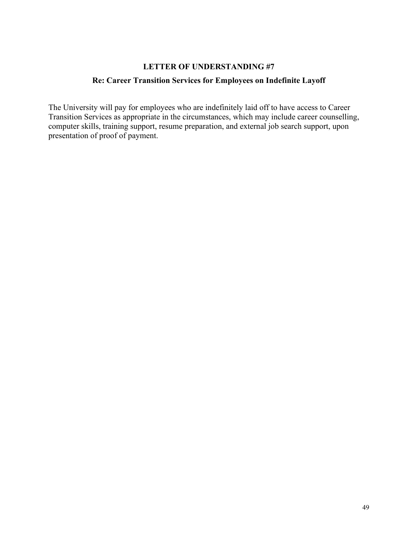# **LETTER OF UNDERSTANDING #7**

## **Re: Career Transition Services for Employees on Indefinite Layoff**

The University will pay for employees who are indefinitely laid off to have access to Career Transition Services as appropriate in the circumstances, which may include career counselling, computer skills, training support, resume preparation, and external job search support, upon presentation of proof of payment.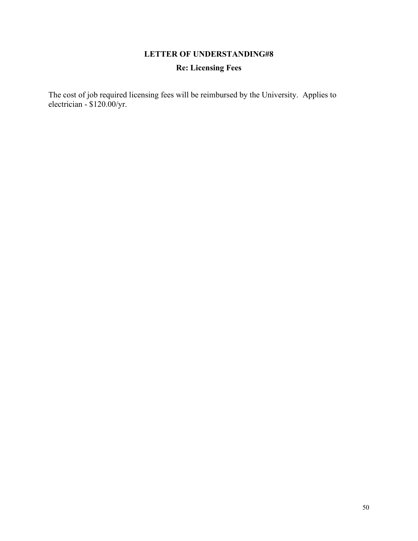# **LETTER OF UNDERSTANDING#8 Re: Licensing Fees**

The cost of job required licensing fees will be reimbursed by the University. Applies to electrician - \$120.00/yr.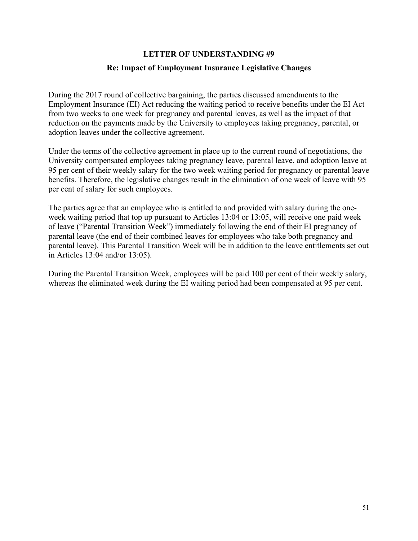# **LETTER OF UNDERSTANDING #9 Re: Impact of Employment Insurance Legislative Changes**

During the 2017 round of collective bargaining, the parties discussed amendments to the Employment Insurance (EI) Act reducing the waiting period to receive benefits under the EI Act from two weeks to one week for pregnancy and parental leaves, as well as the impact of that reduction on the payments made by the University to employees taking pregnancy, parental, or adoption leaves under the collective agreement.

Under the terms of the collective agreement in place up to the current round of negotiations, the University compensated employees taking pregnancy leave, parental leave, and adoption leave at 95 per cent of their weekly salary for the two week waiting period for pregnancy or parental leave benefits. Therefore, the legislative changes result in the elimination of one week of leave with 95 per cent of salary for such employees.

The parties agree that an employee who is entitled to and provided with salary during the oneweek waiting period that top up pursuant to Articles 13:04 or 13:05, will receive one paid week of leave ("Parental Transition Week") immediately following the end of their EI pregnancy of parental leave (the end of their combined leaves for employees who take both pregnancy and parental leave). This Parental Transition Week will be in addition to the leave entitlements set out in Articles 13:04 and/or 13:05).

During the Parental Transition Week, employees will be paid 100 per cent of their weekly salary, whereas the eliminated week during the EI waiting period had been compensated at 95 per cent.